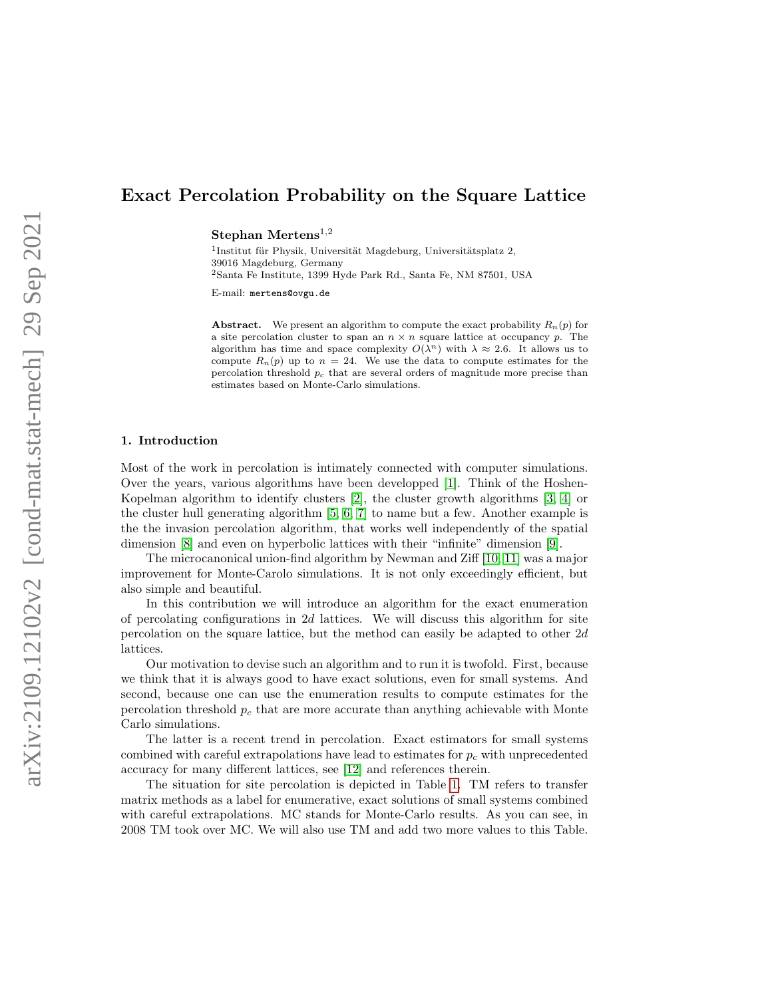# Exact Percolation Probability on the Square Lattice

Stephan Mertens<sup>1,2</sup>

<sup>1</sup>Institut für Physik, Universität Magdeburg, Universitätsplatz 2, 39016 Magdeburg, Germany <sup>2</sup>Santa Fe Institute, 1399 Hyde Park Rd., Santa Fe, NM 87501, USA

E-mail: mertens@ovgu.de

Abstract. We present an algorithm to compute the exact probability  $R_n(p)$  for a site percolation cluster to span an  $n \times n$  square lattice at occupancy p. The algorithm has time and space complexity  $O(\lambda^n)$  with  $\lambda \approx 2.6$ . It allows us to compute  $R_n(p)$  up to  $n = 24$ . We use the data to compute estimates for the percolation threshold  $p_c$  that are several orders of magnitude more precise than estimates based on Monte-Carlo simulations.

#### 1. Introduction

Most of the work in percolation is intimately connected with computer simulations. Over the years, various algorithms have been developped [\[1\]](#page-21-0). Think of the Hoshen-Kopelman algorithm to identify clusters [\[2\]](#page-21-1), the cluster growth algorithms [\[3,](#page-21-2) [4\]](#page-21-3) or the cluster hull generating algorithm [\[5,](#page-21-4) [6,](#page-21-5) [7\]](#page-21-6) to name but a few. Another example is the the invasion percolation algorithm, that works well independently of the spatial dimension [\[8\]](#page-21-7) and even on hyperbolic lattices with their "infinite" dimension [\[9\]](#page-21-8).

The microcanonical union-find algorithm by Newman and Ziff [\[10,](#page-21-9) [11\]](#page-21-10) was a major improvement for Monte-Carolo simulations. It is not only exceedingly efficient, but also simple and beautiful.

In this contribution we will introduce an algorithm for the exact enumeration of percolating configurations in  $2d$  lattices. We will discuss this algorithm for site percolation on the square lattice, but the method can easily be adapted to other 2d lattices.

Our motivation to devise such an algorithm and to run it is twofold. First, because we think that it is always good to have exact solutions, even for small systems. And second, because one can use the enumeration results to compute estimates for the percolation threshold  $p_c$  that are more accurate than anything achievable with Monte Carlo simulations.

The latter is a recent trend in percolation. Exact estimators for small systems combined with careful extrapolations have lead to estimates for  $p_c$  with unprecedented accuracy for many different lattices, see [\[12\]](#page-21-11) and references therein.

The situation for site percolation is depicted in Table [1.](#page-1-0) TM refers to transfer matrix methods as a label for enumerative, exact solutions of small systems combined with careful extrapolations. MC stands for Monte-Carlo results. As you can see, in 2008 TM took over MC. We will also use TM and add two more values to this Table.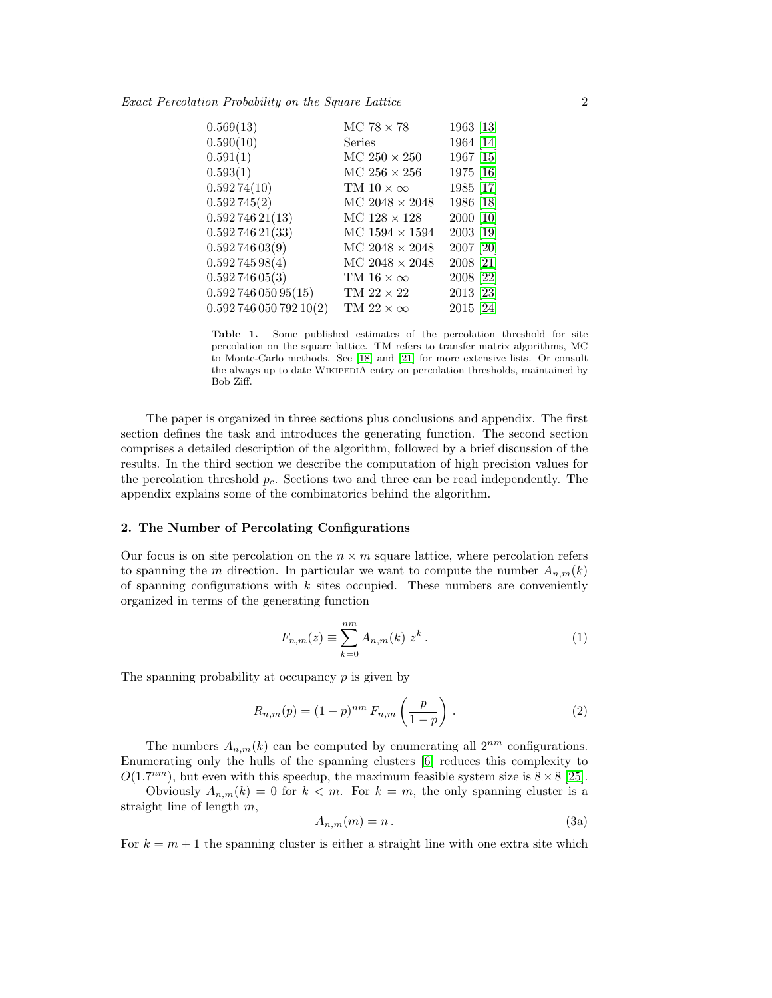<span id="page-1-0"></span>

| 0.569(13)           | MC 78 $\times$ 78       | 1963 [13] |
|---------------------|-------------------------|-----------|
| 0.590(10)           | Series                  | 1964 [14] |
| 0.591(1)            | MC $250 \times 250$     | 1967 [15] |
| 0.593(1)            | MC $256 \times 256$     | 1975 [16] |
| 0.59274(10)         | TM $10 \times \infty$   | 1985 [17] |
| 0.592745(2)         | $MC$ 2048 $\times$ 2048 | 1986 [18] |
| 0.59274621(13)      | MC $128 \times 128$     | 2000 [10] |
| 0.59274621(33)      | MC $1594 \times 1594$   | 2003 [19] |
| 0.59274603(9)       | $MC 2048 \times 2048$   | 2007 [20] |
| 0.59274598(4)       | $MC 2048 \times 2048$   | 2008 [21] |
| 0.59274605(3)       | TM $16 \times \infty$   | 2008 [22] |
| 0.59274605095(15)   | TM $22 \times 22$       | 2013 [23] |
| 0.59274605079210(2) | TM $22 \times \infty$   | 2015 [24] |
|                     |                         |           |

Table 1. Some published estimates of the percolation threshold for site percolation on the square lattice. TM refers to transfer matrix algorithms, MC to Monte-Carlo methods. See [\[18\]](#page-21-17) and [\[21\]](#page-21-20) for more extensive lists. Or consult the always up to date WIKIPEDIA entry on percolation thresholds, maintained by Bob Ziff.

The paper is organized in three sections plus conclusions and appendix. The first section defines the task and introduces the generating function. The second section comprises a detailed description of the algorithm, followed by a brief discussion of the results. In the third section we describe the computation of high precision values for the percolation threshold  $p_c$ . Sections two and three can be read independently. The appendix explains some of the combinatorics behind the algorithm.

# 2. The Number of Percolating Configurations

Our focus is on site percolation on the  $n \times m$  square lattice, where percolation refers to spanning the m direction. In particular we want to compute the number  $A_{n,m}(k)$ of spanning configurations with  $k$  sites occupied. These numbers are conveniently organized in terms of the generating function

$$
F_{n,m}(z) \equiv \sum_{k=0}^{nm} A_{n,m}(k) z^k.
$$
 (1)

The spanning probability at occupancy  $p$  is given by

$$
R_{n,m}(p) = (1-p)^{nm} F_{n,m}\left(\frac{p}{1-p}\right).
$$
 (2)

The numbers  $A_{n,m}(k)$  can be computed by enumerating all  $2^{nm}$  configurations. Enumerating only the hulls of the spanning clusters [\[6\]](#page-21-5) reduces this complexity to  $O(1.7<sup>nm</sup>)$ , but even with this speedup, the maximum feasible system size is  $8 \times 8$  [\[25\]](#page-21-24).

Obviously  $A_{n,m}(k) = 0$  for  $k < m$ . For  $k = m$ , the only spanning cluster is a straight line of length m,

<span id="page-1-1"></span>
$$
A_{n,m}(m) = n. \tag{3a}
$$

For  $k = m + 1$  the spanning cluster is either a straight line with one extra site which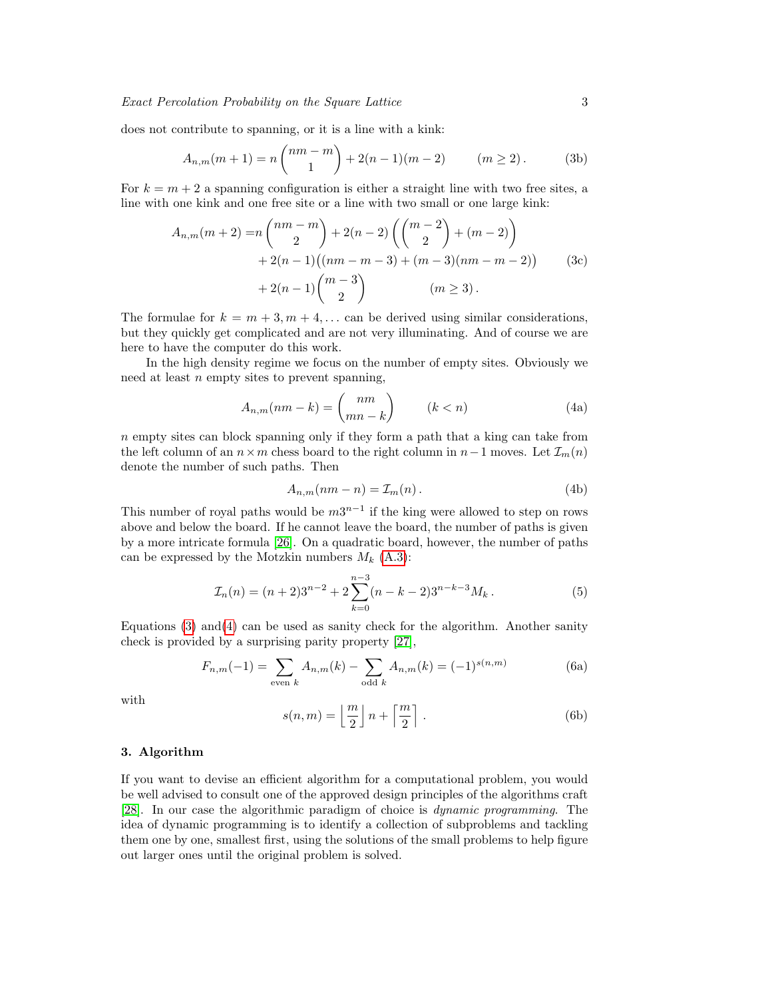does not contribute to spanning, or it is a line with a kink:

$$
A_{n,m}(m+1) = n \binom{nm-m}{1} + 2(n-1)(m-2) \qquad (m \ge 2).
$$
 (3b)

For  $k = m + 2$  a spanning configuration is either a straight line with two free sites, a line with one kink and one free site or a line with two small or one large kink:

$$
A_{n,m}(m+2) = n \binom{nm-m}{2} + 2(n-2) \left( \binom{m-2}{2} + (m-2) \right) + 2(n-1) \left( (nm-m-3) + (m-3)(nm-m-2) \right) + 2(n-1) \binom{m-3}{2} \qquad (m \ge 3).
$$
 (3c)

The formulae for  $k = m + 3, m + 4, \dots$  can be derived using similar considerations, but they quickly get complicated and are not very illuminating. And of course we are here to have the computer do this work.

In the high density regime we focus on the number of empty sites. Obviously we need at least  $n$  empty sites to prevent spanning,

<span id="page-2-0"></span>
$$
A_{n,m}(nm-k) = \binom{nm}{mn-k} \qquad (k < n) \tag{4a}
$$

 $n \in \mathbb{R}$  sites can block spanning only if they form a path that a king can take from the left column of an  $n \times m$  chess board to the right column in  $n-1$  moves. Let  $\mathcal{I}_m(n)$ denote the number of such paths. Then

$$
A_{n,m}(nm-n) = \mathcal{I}_m(n). \tag{4b}
$$

This number of royal paths would be  $m3^{n-1}$  if the king were allowed to step on rows above and below the board. If he cannot leave the board, the number of paths is given by a more intricate formula [\[26\]](#page-21-25). On a quadratic board, however, the number of paths can be expressed by the Motzkin numbers  $M_k$  [\(A.3\)](#page-18-0):

$$
\mathcal{I}_n(n) = (n+2)3^{n-2} + 2\sum_{k=0}^{n-3} (n-k-2)3^{n-k-3}M_k.
$$
 (5)

Equations  $(3)$  and  $(4)$  can be used as sanity check for the algorithm. Another sanity check is provided by a surprising parity property [\[27\]](#page-21-26),

$$
F_{n,m}(-1) = \sum_{\text{even }k} A_{n,m}(k) - \sum_{\text{odd }k} A_{n,m}(k) = (-1)^{s(n,m)} \tag{6a}
$$

with

<span id="page-2-1"></span>
$$
s(n,m) = \left\lfloor \frac{m}{2} \right\rfloor n + \left\lceil \frac{m}{2} \right\rceil.
$$
 (6b)

# 3. Algorithm

If you want to devise an efficient algorithm for a computational problem, you would be well advised to consult one of the approved design principles of the algorithms craft [\[28\]](#page-21-27). In our case the algorithmic paradigm of choice is dynamic programming. The idea of dynamic programming is to identify a collection of subproblems and tackling them one by one, smallest first, using the solutions of the small problems to help figure out larger ones until the original problem is solved.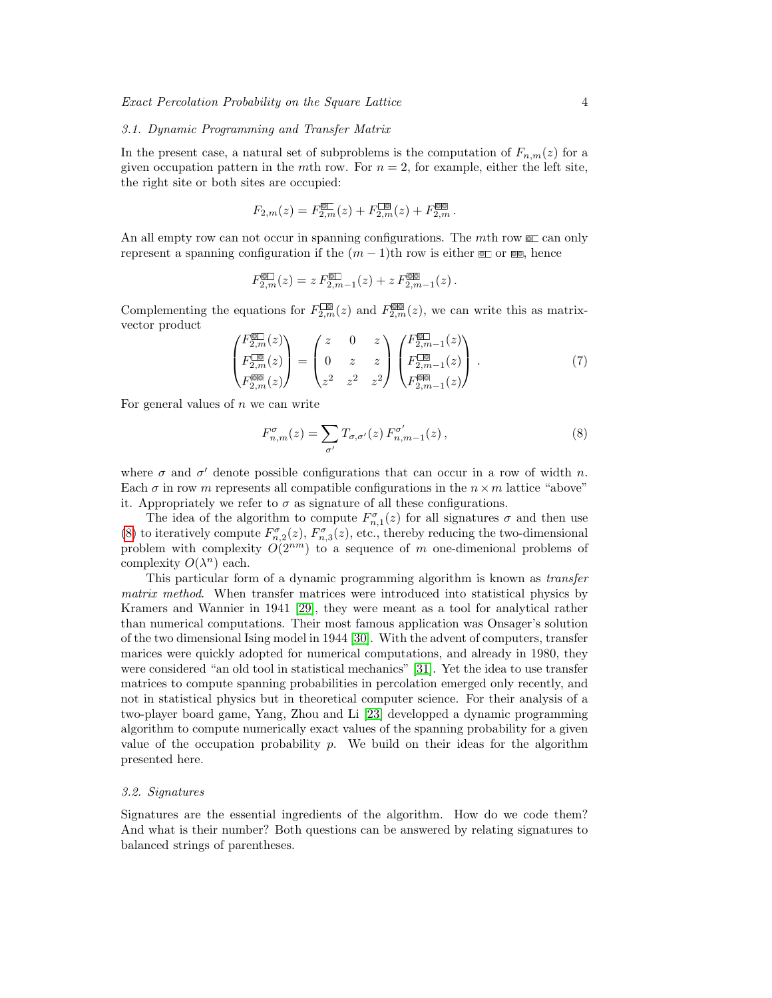#### 3.1. Dynamic Programming and Transfer Matrix

In the present case, a natural set of subproblems is the computation of  $F_{n,m}(z)$  for a given occupation pattern in the mth row. For  $n = 2$ , for example, either the left site, the right site or both sites are occupied:

$$
F_{2,m}(z) = F_{2,m}^{\text{CD}}(z) + F_{2,m}^{\text{CD}}(z) + F_{2,m}^{\text{CD}}.
$$

An all empty row can not occur in spanning configurations. The mth row  $\square$  can only represent a spanning configuration if the  $(m-1)$ th row is either  $\square$  or  $\square$ , hence

$$
F_{2,m}^{\text{CD}}(z) = z F_{2,m-1}^{\text{CD}}(z) + z F_{2,m-1}^{\text{CD}}(z).
$$

Complementing the equations for  $F_{2,m}^{[1]}(z)$  and  $F_{2,m}^{[2]}(z)$ , we can write this as matrixvector product

$$
\begin{pmatrix} F_{2,m}^{\boxtimes 1}(z) \\ F_{2,m}^{\boxtimes 1}(z) \\ F_{2,m}^{\boxtimes 1}(z) \end{pmatrix} = \begin{pmatrix} z & 0 & z \\ 0 & z & z \\ z^2 & z^2 & z^2 \end{pmatrix} \begin{pmatrix} F_{2,m-1}^{\boxtimes 1}(z) \\ F_{2,m-1}^{\boxtimes 1}(z) \\ F_{2,m-1}^{\boxtimes 1}(z) \end{pmatrix} . \tag{7}
$$

For general values of  $n$  we can write

<span id="page-3-0"></span>
$$
F_{n,m}^{\sigma}(z) = \sum_{\sigma'} T_{\sigma,\sigma'}(z) F_{n,m-1}^{\sigma'}(z) , \qquad (8)
$$

where  $\sigma$  and  $\sigma'$  denote possible configurations that can occur in a row of width n. Each  $\sigma$  in row m represents all compatible configurations in the  $n \times m$  lattice "above" it. Appropriately we refer to  $\sigma$  as signature of all these configurations.

The idea of the algorithm to compute  $F_{n,1}^{\sigma}(z)$  for all signatures  $\sigma$  and then use [\(8\)](#page-3-0) to iteratively compute  $F_{n,2}^{\sigma}(z)$ ,  $F_{n,3}^{\sigma}(z)$ , etc., thereby reducing the two-dimensional problem with complexity  $O(2^{nm})$  to a sequence of m one-dimenional problems of complexity  $O(\lambda^n)$  each.

This particular form of a dynamic programming algorithm is known as transfer matrix method. When transfer matrices were introduced into statistical physics by Kramers and Wannier in 1941 [\[29\]](#page-21-28), they were meant as a tool for analytical rather than numerical computations. Their most famous application was Onsager's solution of the two dimensional Ising model in 1944 [\[30\]](#page-21-29). With the advent of computers, transfer marices were quickly adopted for numerical computations, and already in 1980, they were considered "an old tool in statistical mechanics" [\[31\]](#page-21-30). Yet the idea to use transfer matrices to compute spanning probabilities in percolation emerged only recently, and not in statistical physics but in theoretical computer science. For their analysis of a two-player board game, Yang, Zhou and Li [\[23\]](#page-21-22) developped a dynamic programming algorithm to compute numerically exact values of the spanning probability for a given value of the occupation probability  $p$ . We build on their ideas for the algorithm presented here.

## 3.2. Signatures

Signatures are the essential ingredients of the algorithm. How do we code them? And what is their number? Both questions can be answered by relating signatures to balanced strings of parentheses.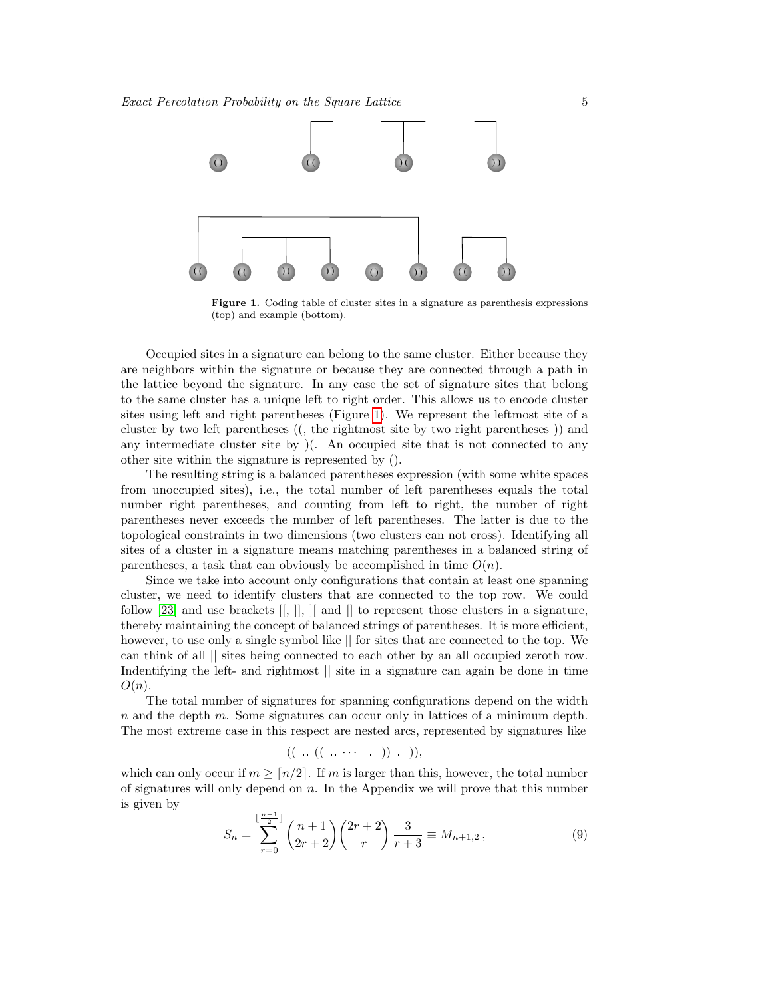

<span id="page-4-0"></span>Figure 1. Coding table of cluster sites in a signature as parenthesis expressions (top) and example (bottom).

Occupied sites in a signature can belong to the same cluster. Either because they are neighbors within the signature or because they are connected through a path in the lattice beyond the signature. In any case the set of signature sites that belong to the same cluster has a unique left to right order. This allows us to encode cluster sites using left and right parentheses (Figure [1\)](#page-4-0). We represent the leftmost site of a cluster by two left parentheses ((, the rightmost site by two right parentheses )) and any intermediate cluster site by )(. An occupied site that is not connected to any other site within the signature is represented by ().

The resulting string is a balanced parentheses expression (with some white spaces from unoccupied sites), i.e., the total number of left parentheses equals the total number right parentheses, and counting from left to right, the number of right parentheses never exceeds the number of left parentheses. The latter is due to the topological constraints in two dimensions (two clusters can not cross). Identifying all sites of a cluster in a signature means matching parentheses in a balanced string of parentheses, a task that can obviously be accomplished in time  $O(n)$ .

Since we take into account only configurations that contain at least one spanning cluster, we need to identify clusters that are connected to the top row. We could follow [\[23\]](#page-21-22) and use brackets  $[[, ]], [[$  and  $[]$  to represent those clusters in a signature, thereby maintaining the concept of balanced strings of parentheses. It is more efficient, however, to use only a single symbol like  $\parallel$  for sites that are connected to the top. We can think of all || sites being connected to each other by an all occupied zeroth row. Indentifying the left- and rightmost  $\parallel$  site in a signature can again be done in time  $O(n)$ .

The total number of signatures for spanning configurations depend on the width n and the depth m. Some signatures can occur only in lattices of a minimum depth. The most extreme case in this respect are nested arcs, represented by signatures like

$$
((\quad \cup ((\_ \cup \cdots \_ \_ ))\_ \cup )),
$$

which can only occur if  $m \geq \lceil n/2 \rceil$ . If m is larger than this, however, the total number of signatures will only depend on  $n$ . In the Appendix we will prove that this number is given by

$$
S_n = \sum_{r=0}^{\lfloor \frac{n-1}{2} \rfloor} \binom{n+1}{2r+2} \binom{2r+2}{r} \frac{3}{r+3} \equiv M_{n+1,2},\tag{9}
$$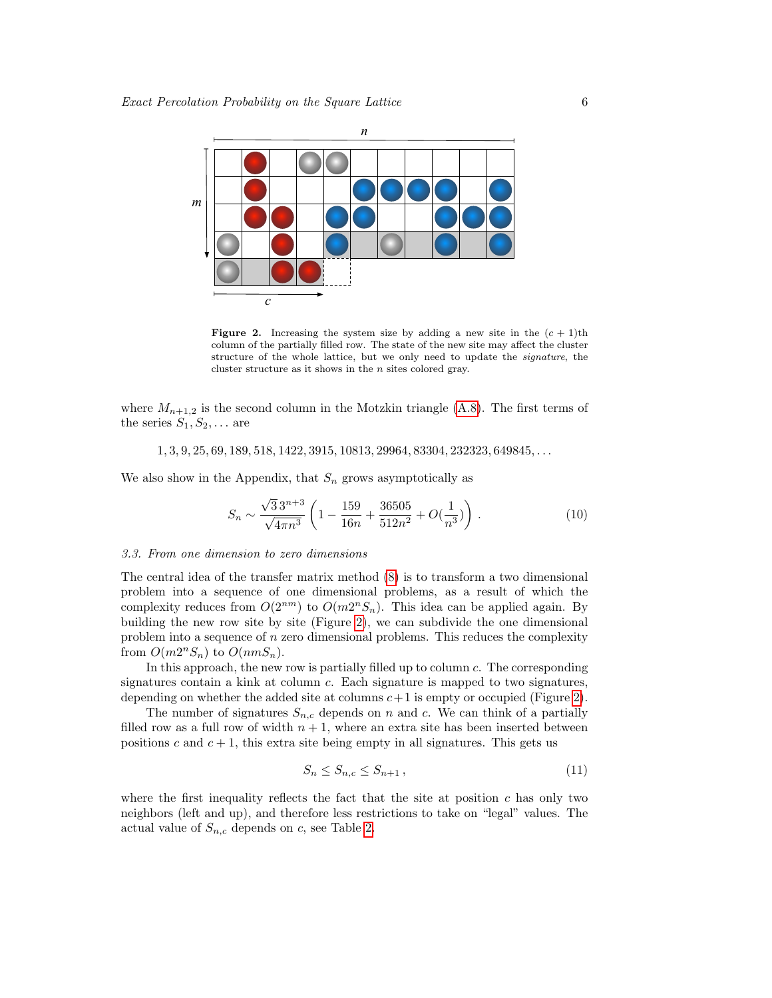

<span id="page-5-0"></span>**Figure 2.** Increasing the system size by adding a new site in the  $(c + 1)$ th column of the partially filled row. The state of the new site may affect the cluster structure of the whole lattice, but we only need to update the signature, the cluster structure as it shows in the  $n$  sites colored gray.

where  $M_{n+1,2}$  is the second column in the Motzkin triangle [\(A.8\)](#page-20-0). The first terms of the series  $S_1, S_2, \ldots$  are

 $1, 3, 9, 25, 69, 189, 518, 1422, 3915, 10813, 29964, 83304, 232323, 649845, \ldots$ 

We also show in the Appendix, that  $S_n$  grows asymptotically as

$$
S_n \sim \frac{\sqrt{3}3^{n+3}}{\sqrt{4\pi n^3}} \left( 1 - \frac{159}{16n} + \frac{36505}{512n^2} + O(\frac{1}{n^3}) \right) . \tag{10}
$$

## 3.3. From one dimension to zero dimensions

The central idea of the transfer matrix method [\(8\)](#page-3-0) is to transform a two dimensional problem into a sequence of one dimensional problems, as a result of which the complexity reduces from  $O(2^{nm})$  to  $O(m2^nS_n)$ . This idea can be applied again. By building the new row site by site (Figure [2\)](#page-5-0), we can subdivide the one dimensional problem into a sequence of  $n$  zero dimensional problems. This reduces the complexity from  $O(m2^nS_n)$  to  $O(nmS_n)$ .

In this approach, the new row is partially filled up to column c. The corresponding signatures contain a kink at column  $c$ . Each signature is mapped to two signatures, depending on whether the added site at columns  $c+1$  is empty or occupied (Figure [2\)](#page-5-0).

The number of signatures  $S_{n,c}$  depends on n and c. We can think of a partially filled row as a full row of width  $n + 1$ , where an extra site has been inserted between positions c and  $c + 1$ , this extra site being empty in all signatures. This gets us

$$
S_n \le S_{n,c} \le S_{n+1} \,,\tag{11}
$$

where the first inequality reflects the fact that the site at position  $c$  has only two neighbors (left and up), and therefore less restrictions to take on "legal" values. The actual value of  $S_{n,c}$  depends on c, see Table [2.](#page-6-0)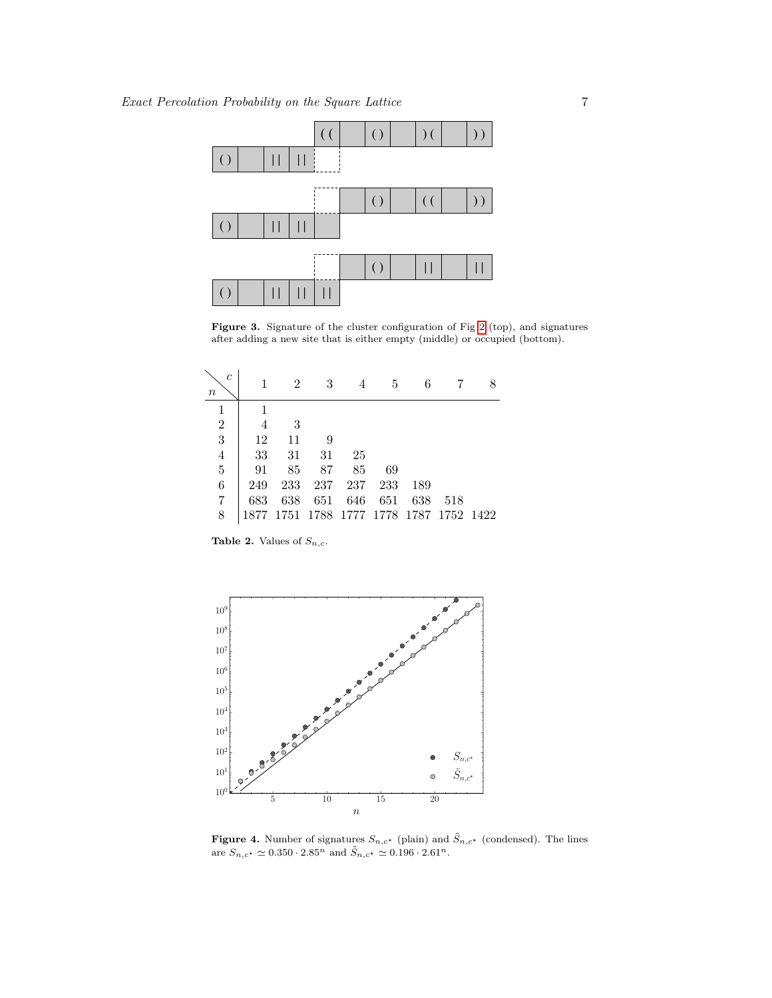

<span id="page-6-2"></span>Figure 3. Signature of the cluster configuration of Fig [2](#page-5-0) (top), and signatures after adding a new site that is either empty (middle) or occupied (bottom).

<span id="page-6-0"></span>

| $\mathfrak{c}$<br>$\it n$ |      | 2                                  |     |     | 5   | 6   |     |  |
|---------------------------|------|------------------------------------|-----|-----|-----|-----|-----|--|
|                           | 1    |                                    |     |     |     |     |     |  |
| $\overline{2}$            | 4    | 3                                  |     |     |     |     |     |  |
| $\overline{3}$            | 12   | 11                                 | 9   |     |     |     |     |  |
| $\overline{4}$            | 33   | 31                                 | 31  | 25  |     |     |     |  |
| $\overline{5}$            | 91   | 85                                 | 87  | 85  | 69  |     |     |  |
| 6                         | 249  | 233                                | 237 | 237 | 233 | 189 |     |  |
| 7                         | 683  | 638                                | 651 | 646 | 651 | 638 | 518 |  |
| 8                         | 1877 | 1751 1788 1777 1778 1787 1752 1422 |     |     |     |     |     |  |

Table 2. Values of  $S_{n,c}$ .



<span id="page-6-1"></span>**Figure 4.** Number of signatures  $S_{n,c^*}$  (plain) and  $\tilde{S}_{n,c^*}$  (condensed). The lines are  $S_{n,c^{\star}} \simeq 0.350 \cdot 2.85^n$  and  $\tilde{S}_{n,c^{\star}} \simeq 0.196 \cdot 2.61^n$ .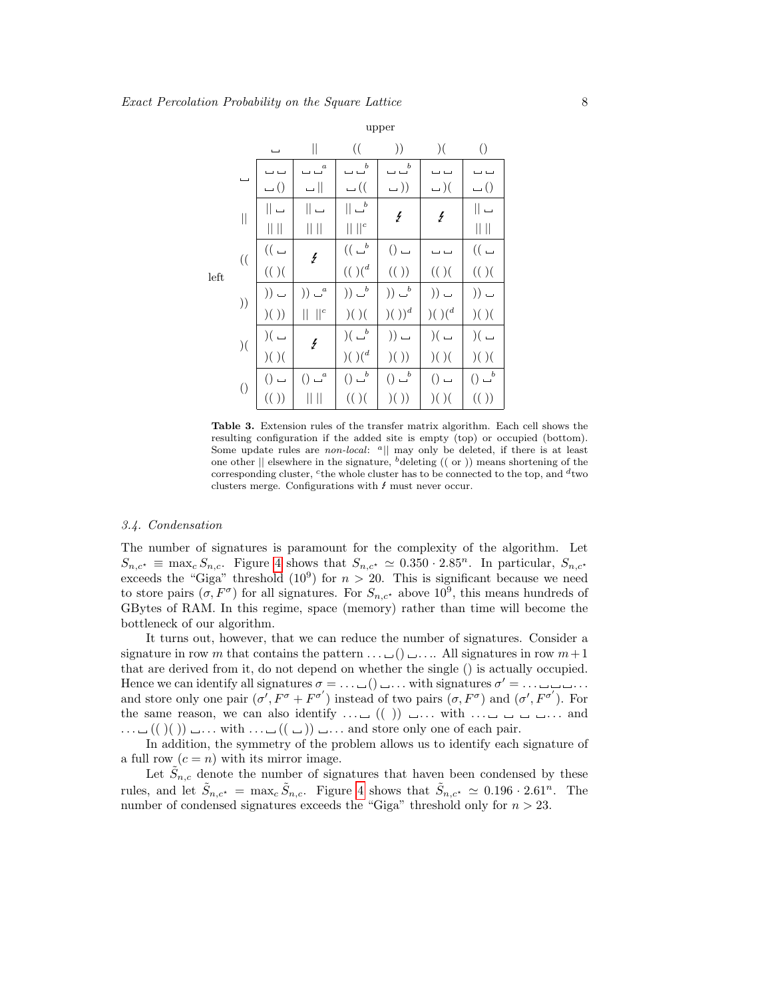|      |                          |                             | $\vert$                         | $\left( \right($                                                            | ))                                                                          | $\big)$ (                                   | $\left(\right)$         |
|------|--------------------------|-----------------------------|---------------------------------|-----------------------------------------------------------------------------|-----------------------------------------------------------------------------|---------------------------------------------|-------------------------|
|      | $\overline{\phantom{0}}$ |                             | $\smash{\smash{\cup}\xspace}^a$ | $\smash{\smash{\cup}\hspace{-.9em}\smash{\smash{\cup}\hspace{-.9em}^{-b}}}$ | $\smash{\smash{\cup}\hspace{-.05cm}\smash{\smash{\cup}\hspace{-.3cm}^{b}}}$ |                                             | ب ب                     |
|      |                          | $\overline{\phantom{0}}$ () | $\Box$                          | $\cup$ ((                                                                   | $\cup$ )                                                                    | $-$ )(                                      | $\cup$ ()               |
|      | $\parallel$              | $\parallel$ $\Box$          | $\parallel$ $\Box$              | $\parallel$ $\omega^b$                                                      | $\frac{1}{2}$                                                               | $\mathcal{L}_{\mathcal{L}}$                 | $\parallel$ $\Box$      |
|      |                          | $   \   $                   | $\parallel \ \parallel$         | $\  \ ^{c}$                                                                 |                                                                             |                                             | $\parallel \ \parallel$ |
|      | $\left( \right($         | $((\overline{\phantom{a}})$ | $\overline{\mathbf{z}}$         | $((\begin{smallmatrix} &b\\ \rule{0pt}{5mm}\end{smallmatrix}$               | $() =$                                                                      |                                             | $((\,\_$                |
| left |                          | $((\ )$ $($                 |                                 | $(( ) (^d$                                                                  | (())                                                                        | (( )                                        | (( )                    |
|      | ))                       | $))$ $-$                    | $))$ $a$                        | )) $\sqcup^b$                                                               | )) $\sqcup^b$                                                               | $)) =$                                      | $)) \cup$               |
|      |                          | )( )                        | $\mathbf{r}$                    | )( )                                                                        | $\big) (\ ) )^d$                                                            | $\left( \cdot \right) \left( \cdot \right)$ | )( )                    |
|      | ) (                      | $)( -$                      | $\frac{1}{2}$                   | )<br>( $\sqcup^b$                                                           | $)) -$                                                                      | $)( -$                                      | )( $\lrcorner$          |
|      |                          | )( )                        |                                 | $)( )({\ }^d$                                                               | )( )                                                                        | )( )                                        | )( )                    |
|      |                          | $()$ $-$                    | $\sqcup^a$<br>$\left( \right)$  | $()$ $\cup$ <sup>b</sup>                                                    | $()$ $\cup^b$                                                               | $()$ $-$                                    | $() \rightharpoonup^b$  |
|      | $\left(\right)$          | (())                        |                                 | (( )                                                                        | )( )                                                                        | )( )                                        | (())                    |

Table 3. Extension rules of the transfer matrix algorithm. Each cell shows the resulting configuration if the added site is empty (top) or occupied (bottom). Some update rules are *non-local*:  $a||$  may only be deleted, if there is at least one other  $\parallel$  elsewhere in the signature, <sup>b</sup>deleting (( or )) means shortening of the corresponding cluster, <sup>c</sup> the whole cluster has to be connected to the top, and  $d$  two clusters merge. Configurations with  $f$  must never occur.

## 3.4. Condensation

The number of signatures is paramount for the complexity of the algorithm. Let  $S_{n,c^*} \equiv \max_c S_{n,c}$ . Figure [4](#page-6-1) shows that  $S_{n,c^*} \simeq 0.350 \cdot 2.85^n$ . In particular,  $S_{n,c^*}$ exceeds the "Giga" threshold  $(10^9)$  for  $n > 20$ . This is significant because we need to store pairs  $(\sigma, F^{\sigma})$  for all signatures. For  $S_{n,c^{\star}}$  above  $10^{9}$ , this means hundreds of GBytes of RAM. In this regime, space (memory) rather than time will become the bottleneck of our algorithm.

It turns out, however, that we can reduce the number of signatures. Consider a signature in row m that contains the pattern  $\dots \sqcup() \sqcup \dots$  All signatures in row  $m+1$ that are derived from it, do not depend on whether the single () is actually occupied. Hence we can identify all signatures  $\sigma = \ldots \sqcup () \sqcup \ldots$  with signatures  $\sigma' = \ldots \sqcup \sqcup \ldots$ and store only one pair  $(\sigma', F^{\sigma} + F^{\sigma'})$  instead of two pairs  $(\sigma, F^{\sigma})$  and  $(\sigma', F^{\sigma'})$ . For the same reason, we can also identify  $\dots \sqcup (() ) \sqcup \dots$  with  $\dots \sqcup \sqcup \sqcup \dots$  and  $\dots \sqcup (( ) ( ) ) \sqcup \dots$  with  $\dots \sqcup (( \sqcup ) ) \sqcup \dots$  and store only one of each pair.

In addition, the symmetry of the problem allows us to identify each signature of a full row  $(c = n)$  with its mirror image.

Let  $\tilde{S}_{n,c}$  denote the number of signatures that haven been condensed by these rules, and let  $\tilde{S}_{n,c^*} = \max_c \tilde{S}_{n,c}$ . Figure [4](#page-6-1) shows that  $\tilde{S}_{n,c^*} \simeq 0.196 \cdot 2.61^n$ . The number of condensed signatures exceeds the "Giga" threshold only for  $n > 23$ .

<span id="page-7-0"></span>upper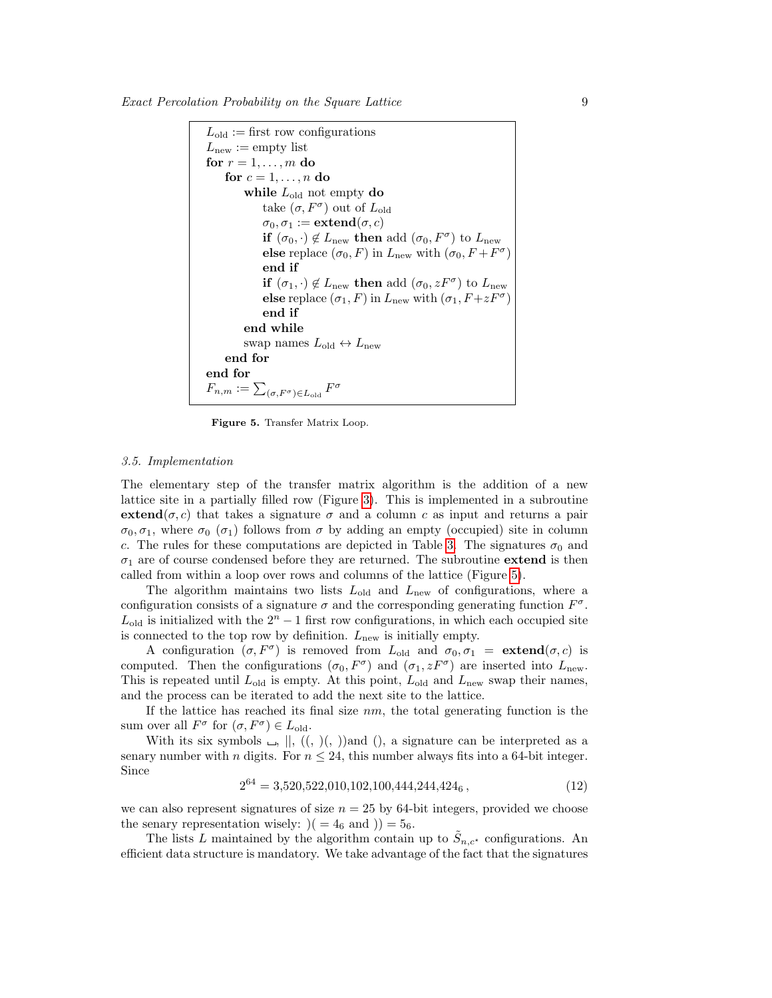

<span id="page-8-0"></span>Figure 5. Transfer Matrix Loop.

#### 3.5. Implementation

The elementary step of the transfer matrix algorithm is the addition of a new lattice site in a partially filled row (Figure [3\)](#page-6-2). This is implemented in a subroutine extend( $\sigma$ , c) that takes a signature  $\sigma$  and a column c as input and returns a pair  $\sigma_0, \sigma_1$ , where  $\sigma_0$  ( $\sigma_1$ ) follows from  $\sigma$  by adding an empty (occupied) site in column c. The rules for these computations are depicted in Table [3.](#page-7-0) The signatures  $\sigma_0$  and  $\sigma_1$  are of course condensed before they are returned. The subroutine **extend** is then called from within a loop over rows and columns of the lattice (Figure [5\)](#page-8-0).

The algorithm maintains two lists  $L_{old}$  and  $L_{new}$  of configurations, where a configuration consists of a signature  $\sigma$  and the corresponding generating function  $F^{\sigma}$ .  $L_{\text{old}}$  is initialized with the  $2^n - 1$  first row configurations, in which each occupied site is connected to the top row by definition.  $L_{\text{new}}$  is initially empty.

A configuration  $(\sigma, F^{\sigma})$  is removed from  $L_{old}$  and  $\sigma_0, \sigma_1 = \textbf{extend}(\sigma, c)$  is computed. Then the configurations  $(\sigma_0, F^{\sigma})$  and  $(\sigma_1, zF^{\sigma})$  are inserted into  $L_{\text{new}}$ . This is repeated until  $L_{old}$  is empty. At this point,  $L_{old}$  and  $L_{new}$  swap their names, and the process can be iterated to add the next site to the lattice.

If the lattice has reached its final size  $nm$ , the total generating function is the sum over all  $F^{\sigma}$  for  $(\sigma, F^{\sigma}) \in L_{\text{old}}$ .

With its six symbols  $\Box$ ,  $||, ((, \dot{))}$ and  $||,$  a signature can be interpreted as a senary number with n digits. For  $n \leq 24$ , this number always fits into a 64-bit integer. Since

$$
2^{64} = 3,520,522,010,102,100,444,244,424_6,
$$
\n<sup>(12)</sup>

we can also represent signatures of size  $n = 25$  by 64-bit integers, provided we choose the senary representation wisely:  $( = 4_6 \text{ and } ) = 5_6.$ 

The lists L maintained by the algorithm contain up to  $\tilde{S}_{n,c^*}$  configurations. An efficient data structure is mandatory. We take advantage of the fact that the signatures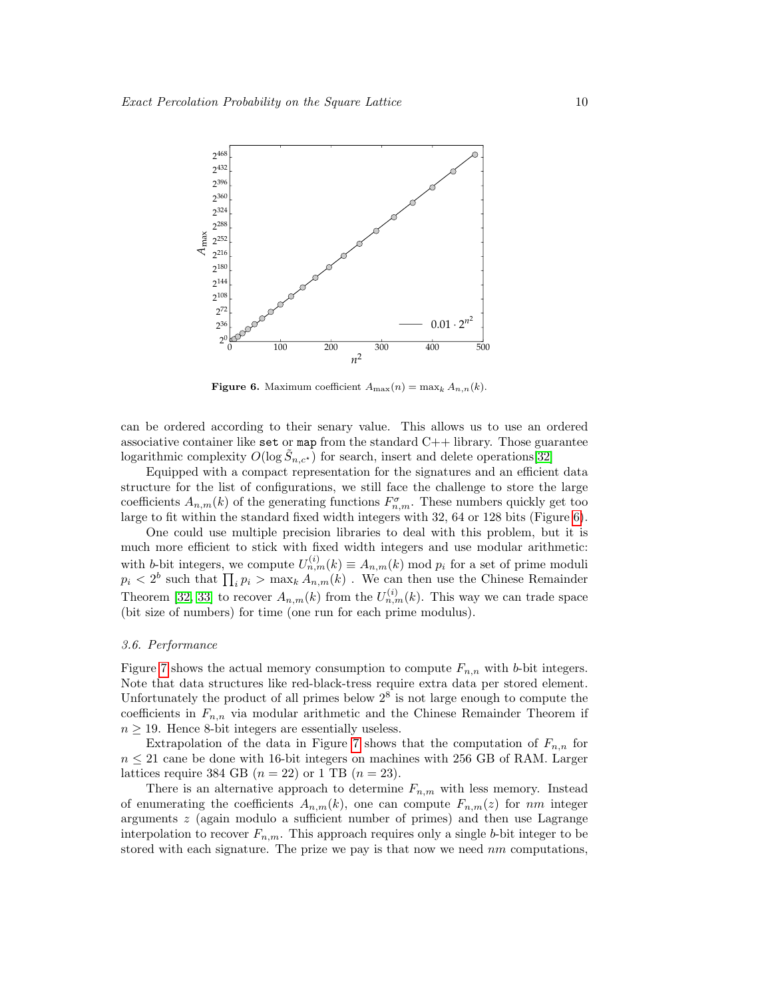

<span id="page-9-0"></span>**Figure 6.** Maximum coefficient  $A_{\text{max}}(n) = \max_k A_{n,n}(k)$ .

can be ordered according to their senary value. This allows us to use an ordered associative container like set or map from the standard  $C++$  library. Those guarantee logarithmic complexity  $O(\log \tilde{S}_{n,c^*})$  for search, insert and delete operations[\[32\]](#page-21-31)

Equipped with a compact representation for the signatures and an efficient data structure for the list of configurations, we still face the challenge to store the large coefficients  $A_{n,m}(k)$  of the generating functions  $F_{n,m}^{\sigma}$ . These numbers quickly get too large to fit within the standard fixed width integers with 32, 64 or 128 bits (Figure [6\)](#page-9-0).

One could use multiple precision libraries to deal with this problem, but it is much more efficient to stick with fixed width integers and use modular arithmetic: with b-bit integers, we compute  $U_{n,m}^{(i)}(k) \equiv A_{n,m}(k) \mod p_i$  for a set of prime moduli  $p_i < 2^b$  such that  $\prod_i p_i > \max_k A_{n,m}(k)$ . We can then use the Chinese Remainder Theorem [\[32,](#page-21-31) [33\]](#page-21-32) to recover  $A_{n,m}(k)$  from the  $U_{n,m}^{(i)}(k)$ . This way we can trade space (bit size of numbers) for time (one run for each prime modulus).

## 3.6. Performance

Figure [7](#page-10-0) shows the actual memory consumption to compute  $F_{n,n}$  with b-bit integers. Note that data structures like red-black-tress require extra data per stored element. Unfortunately the product of all primes below  $2<sup>8</sup>$  is not large enough to compute the coefficients in  $F_{n,n}$  via modular arithmetic and the Chinese Remainder Theorem if  $n \geq 19$ . Hence 8-bit integers are essentially useless.

Extrapolation of the data in Figure [7](#page-10-0) shows that the computation of  $F_{n,n}$  for  $n \leq 21$  cane be done with 16-bit integers on machines with 256 GB of RAM. Larger lattices require 384 GB  $(n = 22)$  or 1 TB  $(n = 23)$ .

There is an alternative approach to determine  $F_{n,m}$  with less memory. Instead of enumerating the coefficients  $A_{n,m}(k)$ , one can compute  $F_{n,m}(z)$  for nm integer arguments z (again modulo a sufficient number of primes) and then use Lagrange interpolation to recover  $F_{n,m}$ . This approach requires only a single b-bit integer to be stored with each signature. The prize we pay is that now we need  $nm$  computations,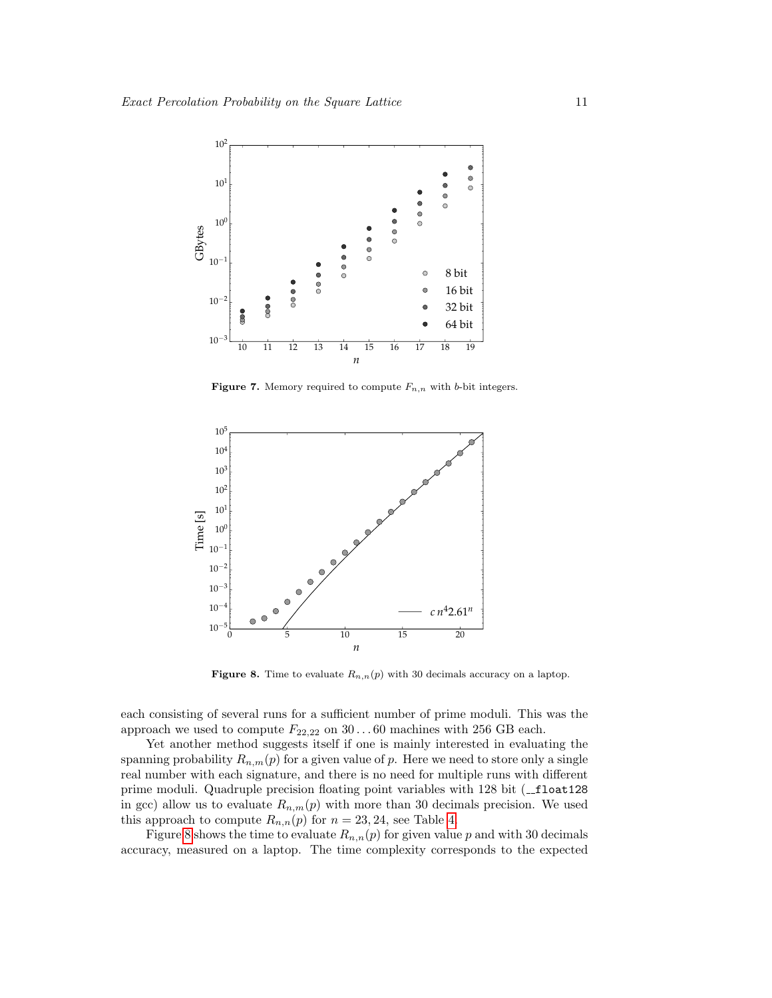

<span id="page-10-0"></span>**Figure 7.** Memory required to compute  $F_{n,n}$  with b-bit integers.



<span id="page-10-1"></span>**Figure 8.** Time to evaluate  $R_{n,n}(p)$  with 30 decimals accuracy on a laptop.

each consisting of several runs for a sufficient number of prime moduli. This was the approach we used to compute  $F_{22,22}$  on  $30...60$  machines with 256 GB each.

Yet another method suggests itself if one is mainly interested in evaluating the spanning probability  $R_{n,m}(p)$  for a given value of p. Here we need to store only a single real number with each signature, and there is no need for multiple runs with different prime moduli. Quadruple precision floating point variables with 128 bit (\_float128 in gcc) allow us to evaluate  $R_{n,m}(p)$  with more than 30 decimals precision. We used this approach to compute  $R_{n,n}(p)$  for  $n = 23, 24$ , see Table [4.](#page-13-0)

Figure [8](#page-10-1) shows the time to evaluate  $R_{n,n}(p)$  for given value p and with 30 decimals accuracy, measured on a laptop. The time complexity corresponds to the expected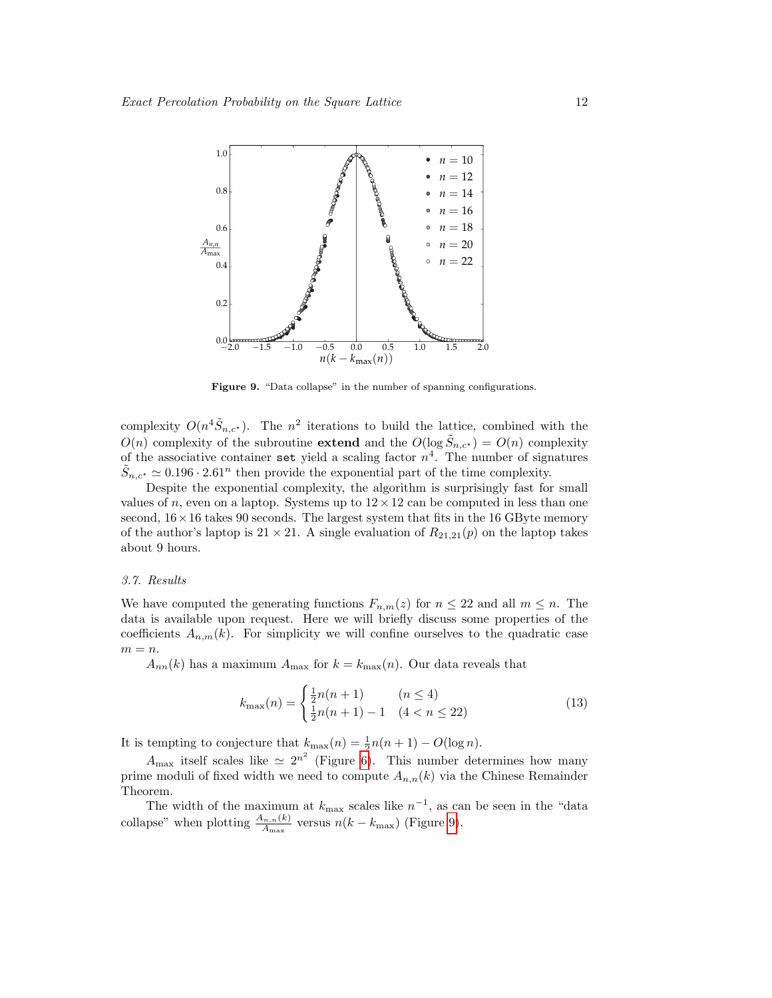

<span id="page-11-0"></span>Figure 9. "Data collapse" in the number of spanning configurations.

complexity  $O(n^4 \tilde{S}_{n,c^*})$ . The  $n^2$  iterations to build the lattice, combined with the  $O(n)$  complexity of the subroutine **extend** and the  $O(\log \tilde{S}_{n,c^*}) = O(n)$  complexity of the associative container set yield a scaling factor  $n^4$ . The number of signatures  $\tilde{S}_{n,c^*} \simeq 0.196 \cdot 2.61^n$  then provide the exponential part of the time complexity.

Despite the exponential complexity, the algorithm is surprisingly fast for small values of n, even on a laptop. Systems up to  $12 \times 12$  can be computed in less than one second,  $16 \times 16$  takes 90 seconds. The largest system that fits in the 16 GByte memory of the author's laptop is  $21 \times 21$ . A single evaluation of  $R_{21,21}(p)$  on the laptop takes about 9 hours.

## 3.7. Results

We have computed the generating functions  $F_{n,m}(z)$  for  $n \leq 22$  and all  $m \leq n$ . The data is available upon request. Here we will briefly discuss some properties of the coefficients  $A_{n,m}(k)$ . For simplicity we will confine ourselves to the quadratic case  $m = n$ .

 $A_{nn}(k)$  has a maximum  $A_{\text{max}}$  for  $k = k_{\text{max}}(n)$ . Our data reveals that

$$
k_{\max}(n) = \begin{cases} \frac{1}{2}n(n+1) & (n \le 4) \\ \frac{1}{2}n(n+1) - 1 & (4 < n \le 22) \end{cases}
$$
(13)

It is tempting to conjecture that  $k_{\text{max}}(n) = \frac{1}{2}n(n+1) - O(\log n)$ .

 $A_{\text{max}}$  itself scales like  $\simeq 2^{n^2}$  (Figure [6\)](#page-9-0). This number determines how many prime moduli of fixed width we need to compute  $A_{n,n}(k)$  via the Chinese Remainder Theorem.

The width of the maximum at  $k_{\text{max}}$  scales like  $n^{-1}$ , as can be seen in the "data collapse" when plotting  $\frac{A_{n,n}(k)}{A_{\text{max}}}$  versus  $n(k - k_{\text{max}})$  (Figure [9\)](#page-11-0).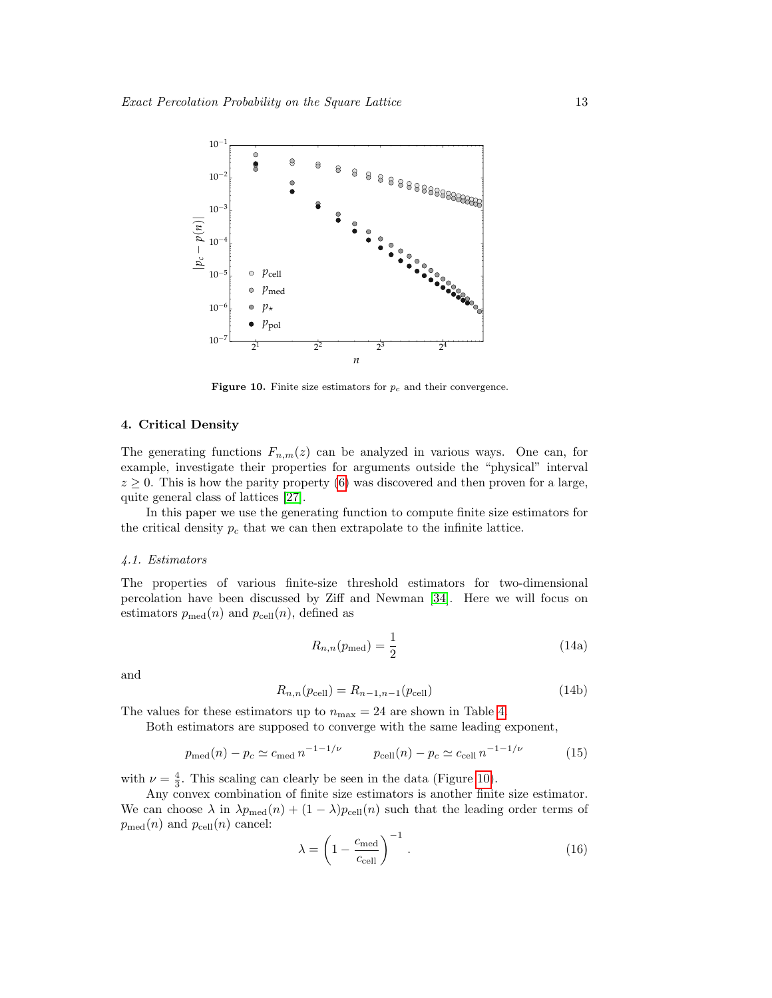

<span id="page-12-0"></span>Figure 10. Finite size estimators for  $p_c$  and their convergence.

## 4. Critical Density

The generating functions  $F_{n,m}(z)$  can be analyzed in various ways. One can, for example, investigate their properties for arguments outside the "physical" interval  $z \geq 0$ . This is how the parity property [\(6\)](#page-2-1) was discovered and then proven for a large, quite general class of lattices [\[27\]](#page-21-26).

In this paper we use the generating function to compute finite size estimators for the critical density  $p_c$  that we can then extrapolate to the infinite lattice.

# 4.1. Estimators

The properties of various finite-size threshold estimators for two-dimensional percolation have been discussed by Ziff and Newman [\[34\]](#page-21-33). Here we will focus on estimators  $p_{\text{med}}(n)$  and  $p_{\text{cell}}(n)$ , defined as

<span id="page-12-1"></span>
$$
R_{n,n}(p_{\text{med}}) = \frac{1}{2} \tag{14a}
$$

and

$$
R_{n,n}(p_{\text{cell}}) = R_{n-1,n-1}(p_{\text{cell}})
$$
\n(14b)

The values for these estimators up to  $n_{\text{max}} = 24$  are shown in Table [4.](#page-13-0)

Both estimators are supposed to converge with the same leading exponent,

$$
p_{\text{med}}(n) - p_c \simeq c_{\text{med}} n^{-1 - 1/\nu} \qquad p_{\text{cell}}(n) - p_c \simeq c_{\text{cell}} n^{-1 - 1/\nu} \tag{15}
$$

with  $\nu = \frac{4}{3}$ . This scaling can clearly be seen in the data (Figure [10\)](#page-12-0).

Any convex combination of finite size estimators is another finite size estimator. We can choose  $\lambda$  in  $\lambda p_{\text{med}}(n) + (1 - \lambda) p_{\text{cell}}(n)$  such that the leading order terms of  $p_{\text{med}}(n)$  and  $p_{\text{cell}}(n)$  cancel:

$$
\lambda = \left(1 - \frac{c_{\text{med}}}{c_{\text{cell}}}\right)^{-1}.
$$
\n(16)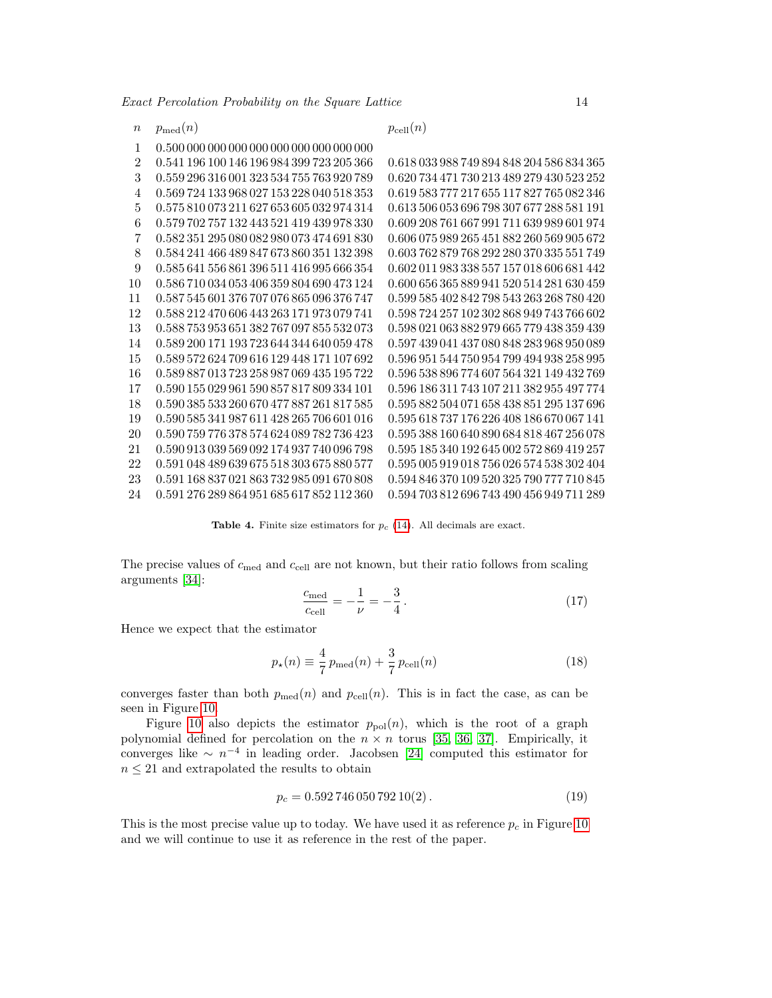$n \quad p_{\text{med}}(n)$   $p_{\text{cell}}(n)$ 

| 1  |                                                      |                                                      |
|----|------------------------------------------------------|------------------------------------------------------|
| 2  | 0.541 196 100 146 196 984 399 723 205 366            | 0.618 033 988 749 894 848 204 586 834 365            |
| 3  | 0.559 296 316 001 323 534 755 763 920 789            | 0.620 734 471 730 213 489 279 430 523 252            |
| 4  | 0.569 724 133 968 027 153 228 040 518 353            | 0.619 583 777 217 655 117 827 765 082 346            |
| 5  | 0.575 810 073 211 627 653 605 032 974 314            | 0.613 506 053 696 798 307 677 288 581 191            |
| 6  | 0.579 702 757 132 443 521 419 439 978 330            | 0.609 208 761 667 991 711 639 989 601 974            |
| 7  | 0.582 351 295 080 082 980 073 474 691 830            | 0.606 075 989 265 451 882 260 569 905 672            |
| 8  | $0.584\,241\,466\,489\,847\,673\,860\,351\,132\,398$ | 0.603 762 879 768 292 280 370 335 551 749            |
| 9  | 0.585 641 556 861 396 511 416 995 666 354            | 0.602 011 983 338 557 157 018 606 681 442            |
| 10 | 0.586 710 034 053 406 359 804 690 473 124            | 0.600 656 365 889 941 520 514 281 630 459            |
| 11 | 0.587 545 601 376 707 076 865 096 376 747            | 0.599 585 402 842 798 543 263 268 780 420            |
| 12 | 0.588 212 470 606 443 263 171 973 079 741            | $0.598\,724\,257\,102\,302\,868\,949\,743\,766\,602$ |
| 13 | 0.588 753 953 651 382 767 097 855 532 073            | 0.598 021 063 882 979 665 779 438 359 439            |
| 14 | 0.589 200 171 193 723 644 344 640 059 478            | 0.597439041437080848283968950089                     |
| 15 | 0.589 572 624 709 616 129 448 171 107 692            | 0.596 951 544 750 954 799 494 938 258 995            |
| 16 | 0.589 887 013 723 258 987 069 435 195 722            | 0.596 538 896 774 607 564 321 149 432 769            |
| 17 | 0.590 155 029 961 590 857 817 809 334 101            | 0.596 186 311 743 107 211 382 955 497 774            |
| 18 | 0.590 385 533 260 670 477 887 261 817 585            | 0.595 882 504 071 658 438 851 295 137 696            |
| 19 | 0.590 585 341 987 611 428 265 706 601 016            | 0.595 618 737 176 226 408 186 670 067 141            |
| 20 | 0.590 759 776 378 574 624 089 782 736 423            | 0.595 388 160 640 890 684 818 467 256 078            |
| 21 | 0.590 913 039 569 092 174 937 740 096 798            | 0.595 185 340 192 645 002 572 869 419 257            |
| 22 | 0.591 048 489 639 675 518 303 675 880 577            | 0.595 005 919 018 756 026 574 538 302 404            |
| 23 | 0.591 168 837 021 863 732 985 091 670 808            | 0.594 846 370 109 520 325 790 777 710 845            |
| 24 | 0.591 276 289 864 951 685 617 852 112 360            | 0.594 703 812 696 743 490 456 949 711 289            |

Table 4. Finite size estimators for  $p_c$  [\(14\)](#page-12-1). All decimals are exact.

The precise values of  $c_{\text{med}}$  and  $c_{\text{cell}}$  are not known, but their ratio follows from scaling arguments [\[34\]](#page-21-33):

<span id="page-13-0"></span>
$$
\frac{c_{\text{med}}}{c_{\text{cell}}} = -\frac{1}{\nu} = -\frac{3}{4} \,. \tag{17}
$$

Hence we expect that the estimator

$$
p_{\star}(n) \equiv \frac{4}{7} p_{\text{med}}(n) + \frac{3}{7} p_{\text{cell}}(n) \tag{18}
$$

converges faster than both  $p_{\text{med}}(n)$  and  $p_{\text{cell}}(n)$ . This is in fact the case, as can be seen in Figure [10.](#page-12-0)

Figure [10](#page-12-0) also depicts the estimator  $p_{pol}(n)$ , which is the root of a graph polynomial defined for percolation on the  $n \times n$  torus [\[35,](#page-21-34) [36,](#page-21-35) [37\]](#page-21-36). Empirically, it converges like  $\sim n^{-4}$  in leading order. Jacobsen [\[24\]](#page-21-23) computed this estimator for  $n\leq 21$  and extrapolated the results to obtain

<span id="page-13-1"></span>
$$
p_c = 0.592\,746\,050\,792\,10(2) \,. \tag{19}
$$

This is the most precise value up to today. We have used it as reference  $p_c$  in Figure [10](#page-12-0) and we will continue to use it as reference in the rest of the paper.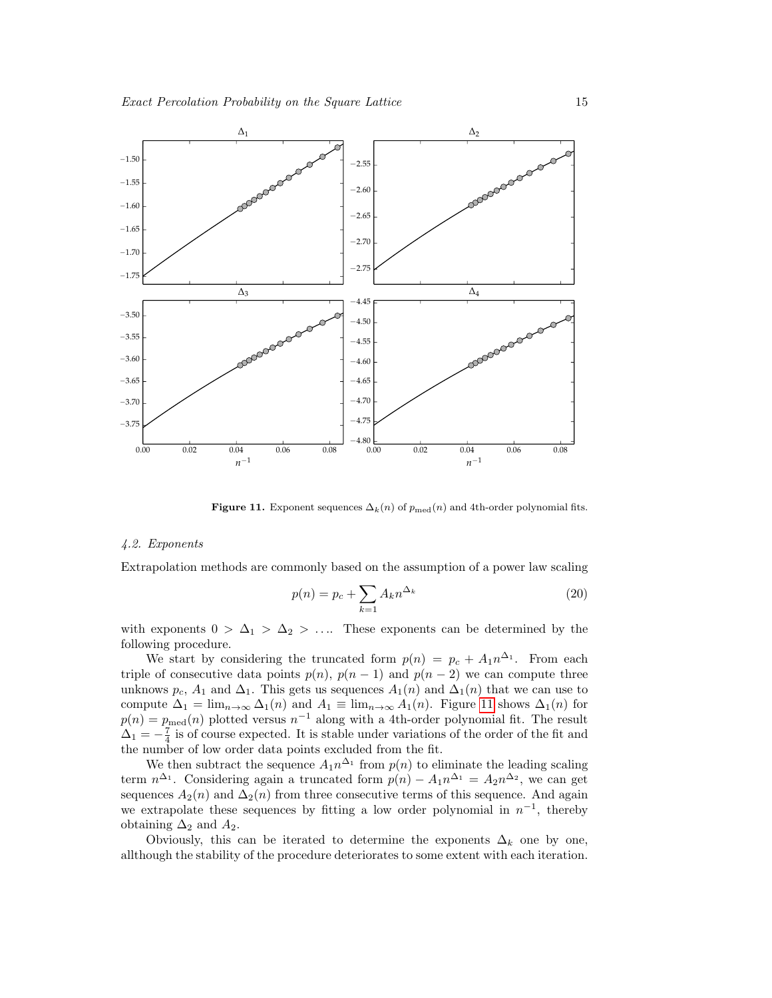

Figure 11. Exponent sequences  $\Delta_k(n)$  of  $p_{\text{med}}(n)$  and 4th-order polynomial fits.

#### 4.2. Exponents

Extrapolation methods are commonly based on the assumption of a power law scaling

<span id="page-14-0"></span>
$$
p(n) = p_c + \sum_{k=1} A_k n^{\Delta_k} \tag{20}
$$

with exponents  $0 > \Delta_1 > \Delta_2 > \ldots$  These exponents can be determined by the following procedure.

We start by considering the truncated form  $p(n) = p_c + A_1 n^{\Delta_1}$ . From each triple of consecutive data points  $p(n)$ ,  $p(n-1)$  and  $p(n-2)$  we can compute three unknows  $p_c$ ,  $A_1$  and  $\Delta_1$ . This gets us sequences  $A_1(n)$  and  $\Delta_1(n)$  that we can use to compute  $\Delta_1 = \lim_{n \to \infty} \Delta_1(n)$  and  $A_1 \equiv \lim_{n \to \infty} A_1(n)$ . Figure [11](#page-14-0) shows  $\Delta_1(n)$  for  $p(n) = p_{\text{med}}(n)$  plotted versus  $n^{-1}$  along with a 4th-order polynomial fit. The result  $\Delta_1 = -\frac{7}{4}$  is of course expected. It is stable under variations of the order of the fit and the number of low order data points excluded from the fit.

We then subtract the sequence  $A_1 n^{\Delta_1}$  from  $p(n)$  to eliminate the leading scaling term  $n^{\Delta_1}$ . Considering again a truncated form  $p(n) - A_1 n^{\Delta_1} = A_2 n^{\Delta_2}$ , we can get sequences  $A_2(n)$  and  $\Delta_2(n)$  from three consecutive terms of this sequence. And again we extrapolate these sequences by fitting a low order polynomial in  $n^{-1}$ , thereby obtaining  $\Delta_2$  and  $A_2$ .

Obviously, this can be iterated to determine the exponents  $\Delta_k$  one by one, allthough the stability of the procedure deteriorates to some extent with each iteration.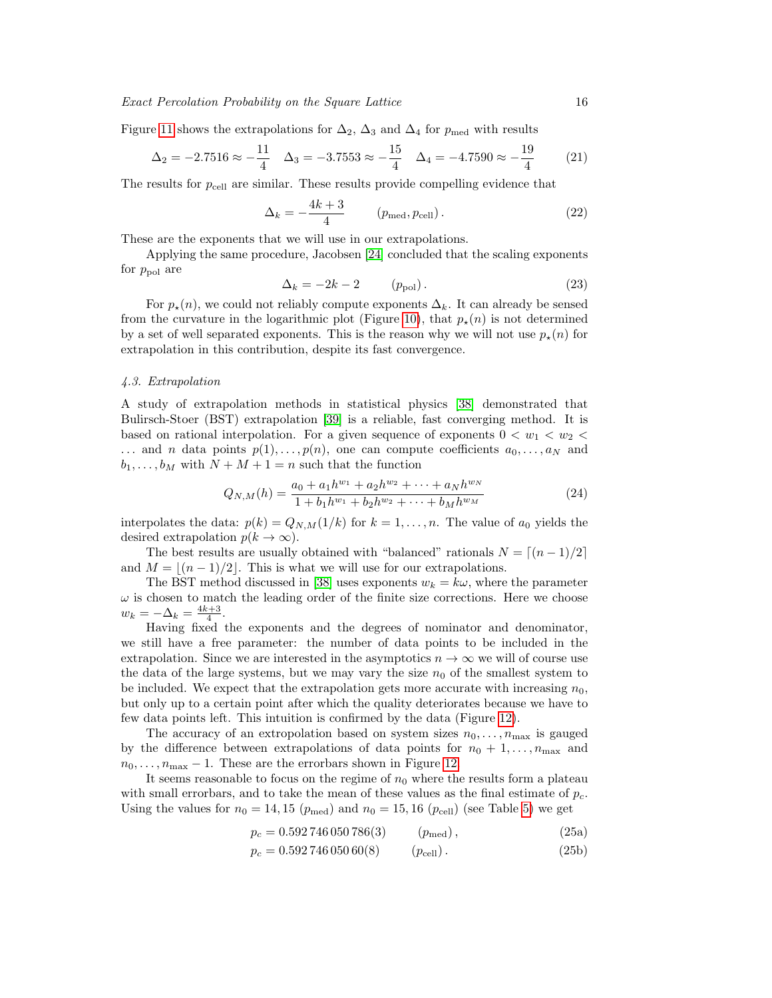Figure [11](#page-14-0) shows the extrapolations for  $\Delta_2$ ,  $\Delta_3$  and  $\Delta_4$  for  $p_{\text{med}}$  with results

$$
\Delta_2 = -2.7516 \approx -\frac{11}{4} \quad \Delta_3 = -3.7553 \approx -\frac{15}{4} \quad \Delta_4 = -4.7590 \approx -\frac{19}{4} \tag{21}
$$

The results for  $p_{cell}$  are similar. These results provide compelling evidence that

$$
\Delta_k = -\frac{4k+3}{4} \qquad (p_{\text{med}}, p_{\text{cell}}). \tag{22}
$$

These are the exponents that we will use in our extrapolations.

Applying the same procedure, Jacobsen [\[24\]](#page-21-23) concluded that the scaling exponents for  $p_{\text{pol}}$  are

<span id="page-15-1"></span>
$$
\Delta_k = -2k - 2 \qquad (p_{\text{pol}}). \tag{23}
$$

For  $p_{\star}(n)$ , we could not reliably compute exponents  $\Delta_k$ . It can already be sensed from the curvature in the logarithmic plot (Figure [10\)](#page-12-0), that  $p_{\star}(n)$  is not determined by a set of well separated exponents. This is the reason why we will not use  $p_{\star}(n)$  for extrapolation in this contribution, despite its fast convergence.

## 4.3. Extrapolation

A study of extrapolation methods in statistical physics [\[38\]](#page-21-37) demonstrated that Bulirsch-Stoer (BST) extrapolation [\[39\]](#page-21-38) is a reliable, fast converging method. It is based on rational interpolation. For a given sequence of exponents  $0 < w_1 < w_2 <$ ... and *n* data points  $p(1), \ldots, p(n)$ , one can compute coefficients  $a_0, \ldots, a_N$  and  $b_1, \ldots, b_M$  with  $N + M + 1 = n$  such that the function

$$
Q_{N,M}(h) = \frac{a_0 + a_1 h^{w_1} + a_2 h^{w_2} + \dots + a_N h^{w_N}}{1 + b_1 h^{w_1} + b_2 h^{w_2} + \dots + b_M h^{w_M}}
$$
(24)

interpolates the data:  $p(k) = Q_{N,M}(1/k)$  for  $k = 1, ..., n$ . The value of  $a_0$  yields the desired extrapolation  $p(k \to \infty)$ .

The best results are usually obtained with "balanced" rationals  $N = (n - 1)/2$ and  $M = \lfloor (n - 1)/2 \rfloor$ . This is what we will use for our extrapolations.

The BST method discussed in [\[38\]](#page-21-37) uses exponents  $w_k = k\omega$ , where the parameter  $\omega$  is chosen to match the leading order of the finite size corrections. Here we choose  $w_k = -\Delta_k = \frac{4k+3}{4}.$ 

Having fixed the exponents and the degrees of nominator and denominator, we still have a free parameter: the number of data points to be included in the extrapolation. Since we are interested in the asymptotics  $n \to \infty$  we will of course use the data of the large systems, but we may vary the size  $n_0$  of the smallest system to be included. We expect that the extrapolation gets more accurate with increasing  $n_0$ , but only up to a certain point after which the quality deteriorates because we have to few data points left. This intuition is confirmed by the data (Figure [12\)](#page-16-0).

The accuracy of an extropolation based on system sizes  $n_0, \ldots, n_{\text{max}}$  is gauged by the difference between extrapolations of data points for  $n_0 + 1, \ldots, n_{\text{max}}$  and  $n_0, \ldots, n_{\text{max}} - 1$ . These are the errorbars shown in Figure [12.](#page-16-0)

It seems reasonable to focus on the regime of  $n_0$  where the results form a plateau with small errorbars, and to take the mean of these values as the final estimate of  $p_c$ . Using the values for  $n_0 = 14, 15$  ( $p_{\text{med}}$ ) and  $n_0 = 15, 16$  ( $p_{\text{cell}}$ ) (see Table [5\)](#page-16-1) we get

<span id="page-15-0"></span>
$$
p_c = 0.592746050786(3) \t\t (p_{\text{med}}), \t\t (25a)
$$

$$
p_c = 0.59274605060(8) \qquad (p_{cell}). \qquad (25b)
$$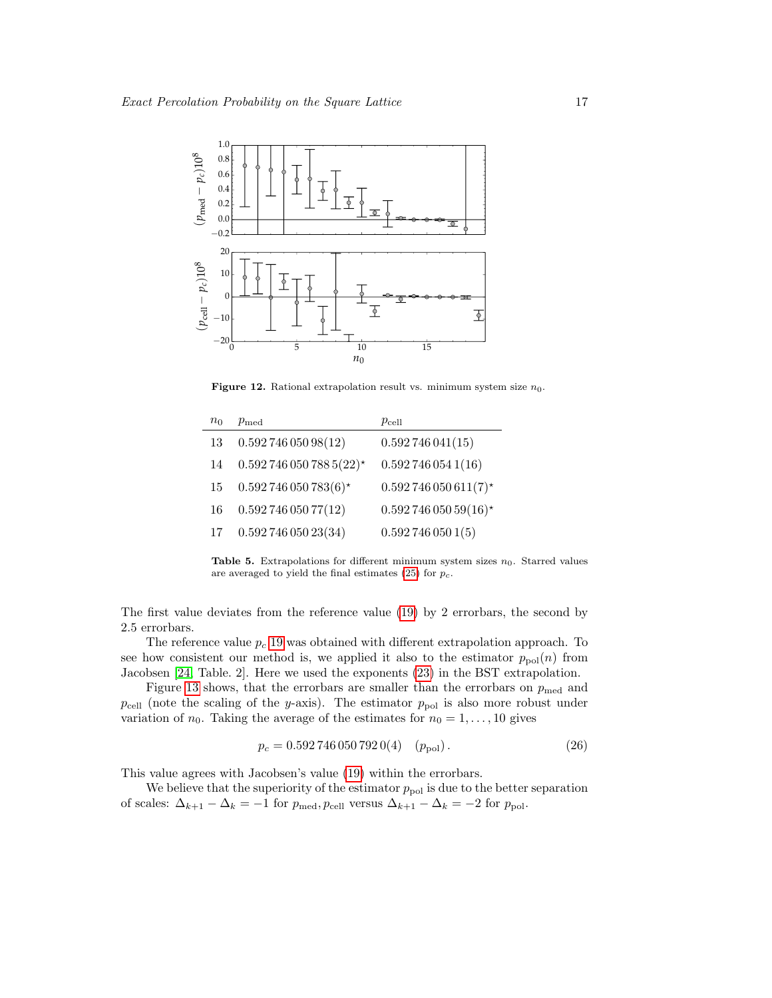

<span id="page-16-0"></span>Figure 12. Rational extrapolation result vs. minimum system size  $n_0$ .

<span id="page-16-1"></span>

| $n_0$ | $p_{\rm med}$           | $p_{\rm cell}$        |
|-------|-------------------------|-----------------------|
| 13    | 0.59274605098(12)       | 0.592746041(15)       |
| 14    | $0.5927460507885(22)$ * | 0.5927460541(16)      |
| 15    | $0.592746050783(6)$ *   | $0.592746050611(7)$ * |
| 16    | 0.59274605077(12)       | $0.59274605059(16)$ * |
| 17    | 0.59274605023(34)       | 0.5927460501(5)       |

Table 5. Extrapolations for different minimum system sizes  $n_0$ . Starred values are averaged to yield the final estimates  $(25)$  for  $p_c$ .

The first value deviates from the reference value [\(19\)](#page-13-1) by 2 errorbars, the second by 2.5 errorbars.

The reference value  $p_c$  [19](#page-13-1) was obtained with different extrapolation approach. To see how consistent our method is, we applied it also to the estimator  $p_{pol}(n)$  from Jacobsen [\[24,](#page-21-23) Table. 2]. Here we used the exponents [\(23\)](#page-15-1) in the BST extrapolation.

Figure [13](#page-17-0) shows, that the errorbars are smaller than the errorbars on  $p_{\text{med}}$  and  $p_{cell}$  (note the scaling of the y-axis). The estimator  $p_{pol}$  is also more robust under variation of  $n_0$ . Taking the average of the estimates for  $n_0 = 1, \ldots, 10$  gives

$$
p_c = 0.5927460507920(4) \quad (p_{\text{pol}}). \tag{26}
$$

This value agrees with Jacobsen's value [\(19\)](#page-13-1) within the errorbars.

We believe that the superiority of the estimator  $p_{pol}$  is due to the better separation of scales:  $\Delta_{k+1} - \Delta_k = -1$  for  $p_{\text{med}}, p_{\text{cell}}$  versus  $\Delta_{k+1} - \Delta_k = -2$  for  $p_{\text{pol}}$ .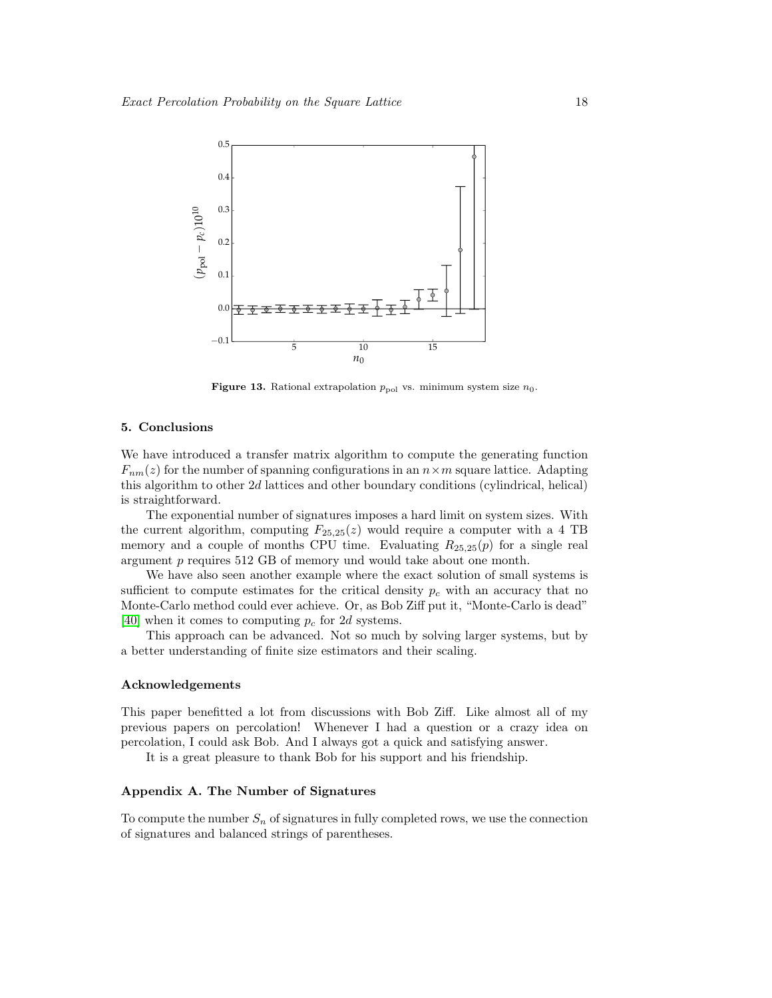

Figure 13. Rational extrapolation  $p_{pol}$  vs. minimum system size  $n_0$ .

# <span id="page-17-0"></span>5. Conclusions

We have introduced a transfer matrix algorithm to compute the generating function  $F_{nm}(z)$  for the number of spanning configurations in an  $n \times m$  square lattice. Adapting this algorithm to other 2d lattices and other boundary conditions (cylindrical, helical) is straightforward.

The exponential number of signatures imposes a hard limit on system sizes. With the current algorithm, computing  $F_{25,25}(z)$  would require a computer with a 4 TB memory and a couple of months CPU time. Evaluating  $R_{25,25}(p)$  for a single real argument p requires 512 GB of memory und would take about one month.

We have also seen another example where the exact solution of small systems is sufficient to compute estimates for the critical density  $p<sub>c</sub>$  with an accuracy that no Monte-Carlo method could ever achieve. Or, as Bob Ziff put it, "Monte-Carlo is dead" [\[40\]](#page-21-39) when it comes to computing  $p_c$  for 2d systems.

This approach can be advanced. Not so much by solving larger systems, but by a better understanding of finite size estimators and their scaling.

#### Acknowledgements

This paper benefitted a lot from discussions with Bob Ziff. Like almost all of my previous papers on percolation! Whenever I had a question or a crazy idea on percolation, I could ask Bob. And I always got a quick and satisfying answer.

It is a great pleasure to thank Bob for his support and his friendship.

# Appendix A. The Number of Signatures

To compute the number  $S_n$  of signatures in fully completed rows, we use the connection of signatures and balanced strings of parentheses.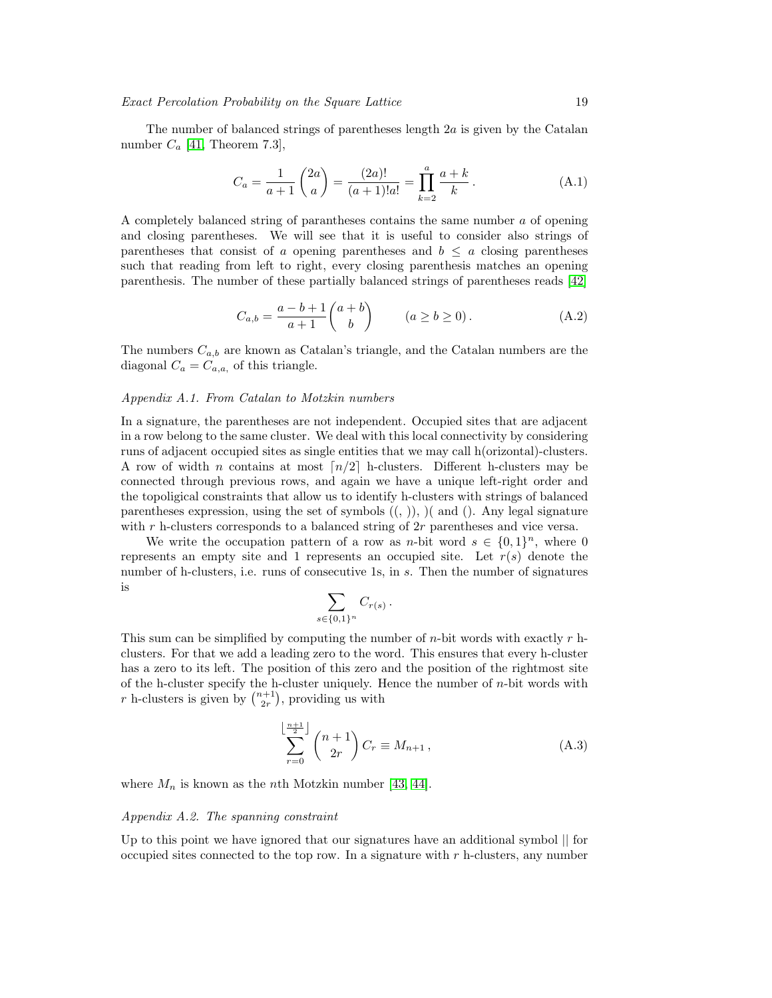The number of balanced strings of parentheses length  $2a$  is given by the Catalan number  $C_a$  [\[41,](#page-21-40) Theorem 7.3],

$$
C_a = \frac{1}{a+1} \binom{2a}{a} = \frac{(2a)!}{(a+1)!a!} = \prod_{k=2}^{a} \frac{a+k}{k}.
$$
 (A.1)

A completely balanced string of parantheses contains the same number a of opening and closing parentheses. We will see that it is useful to consider also strings of parentheses that consist of a opening parentheses and  $b \leq a$  closing parentheses such that reading from left to right, every closing parenthesis matches an opening parenthesis. The number of these partially balanced strings of parentheses reads [\[42\]](#page-21-41)

<span id="page-18-1"></span>
$$
C_{a,b} = \frac{a-b+1}{a+1} \binom{a+b}{b} \qquad (a \ge b \ge 0). \tag{A.2}
$$

The numbers  $C_{a,b}$  are known as Catalan's triangle, and the Catalan numbers are the diagonal  $C_a = C_{a,a}$ , of this triangle.

#### Appendix A.1. From Catalan to Motzkin numbers

In a signature, the parentheses are not independent. Occupied sites that are adjacent in a row belong to the same cluster. We deal with this local connectivity by considering runs of adjacent occupied sites as single entities that we may call h(orizontal)-clusters. A row of width n contains at most  $\lceil n/2 \rceil$  h-clusters. Different h-clusters may be connected through previous rows, and again we have a unique left-right order and the topoligical constraints that allow us to identify h-clusters with strings of balanced parentheses expression, using the set of symbols  $((, ))$ ,  $)($  and  $().$  Any legal signature with  $r$  h-clusters corresponds to a balanced string of  $2r$  parentheses and vice versa.

We write the occupation pattern of a row as n-bit word  $s \in \{0,1\}^n$ , where 0 represents an empty site and 1 represents an occupied site. Let  $r(s)$  denote the number of h-clusters, i.e. runs of consecutive 1s, in s. Then the number of signatures is

$$
\sum_{s\in\{0,1\}^n} C_{r(s)}.
$$

This sum can be simplified by computing the number of  $n$ -bit words with exactly  $r$  hclusters. For that we add a leading zero to the word. This ensures that every h-cluster has a zero to its left. The position of this zero and the position of the rightmost site of the h-cluster specify the h-cluster uniquely. Hence the number of n-bit words with r h-clusters is given by  $\binom{n+1}{2r}$ , providing us with

<span id="page-18-0"></span>
$$
\sum_{r=0}^{\left\lfloor \frac{n+1}{2} \right\rfloor} \binom{n+1}{2r} C_r \equiv M_{n+1},\tag{A.3}
$$

where  $M_n$  is known as the *n*th Motzkin number [\[43,](#page-21-42) [44\]](#page-21-43).

## Appendix A.2. The spanning constraint

Up to this point we have ignored that our signatures have an additional symbol || for occupied sites connected to the top row. In a signature with  $r$  h-clusters, any number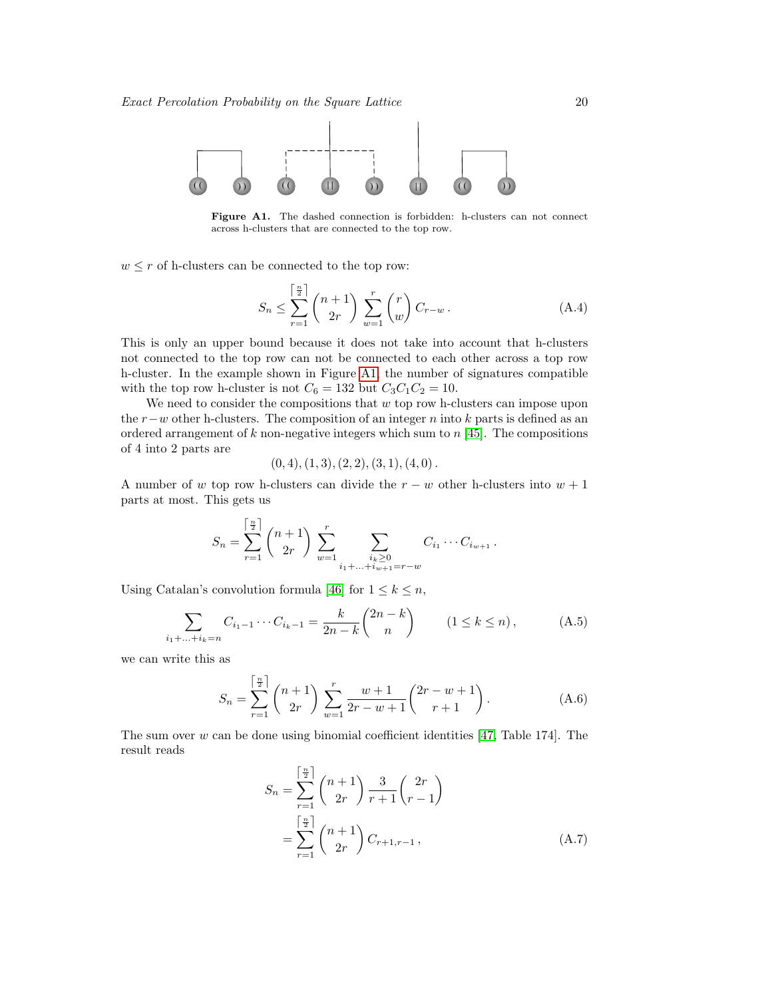

Figure A1. The dashed connection is forbidden: h-clusters can not connect across h-clusters that are connected to the top row.

 $w \leq r$  of h-clusters can be connected to the top row:

<span id="page-19-0"></span>
$$
S_n \le \sum_{r=1}^{\left\lceil \frac{n}{2} \right\rceil} \binom{n+1}{2r} \sum_{w=1}^r \binom{r}{w} C_{r-w} . \tag{A.4}
$$

This is only an upper bound because it does not take into account that h-clusters not connected to the top row can not be connected to each other across a top row h-cluster. In the example shown in Figure [A1,](#page-19-0) the number of signatures compatible with the top row h-cluster is not  $C_6 = 132$  but  $C_3C_1C_2 = 10$ .

We need to consider the compositions that  $w$  top row h-clusters can impose upon the  $r-w$  other h-clusters. The composition of an integer n into k parts is defined as an ordered arrangement of  $k$  non-negative integers which sum to  $n \cdot 45$ . The compositions of 4 into 2 parts are

$$
(0,4), (1,3), (2,2), (3,1), (4,0).
$$

A number of w top row h-clusters can divide the  $r - w$  other h-clusters into  $w + 1$ parts at most. This gets us

$$
S_n = \sum_{r=1}^{\left[\frac{n}{2}\right]} \binom{n+1}{2r} \sum_{w=1}^r \sum_{\substack{i_k \geq 0 \\ i_1 + \ldots + i_{w+1} = r-w}} C_{i_1} \cdots C_{i_{w+1}}.
$$

Using Catalan's convolution formula [\[46\]](#page-21-45) for  $1 \leq k \leq n$ ,

$$
\sum_{i_1 + \dots + i_k = n} C_{i_1 - 1} \cdots C_{i_k - 1} = \frac{k}{2n - k} {2n - k \choose n} \qquad (1 \le k \le n), \tag{A.5}
$$

we can write this as

$$
S_n = \sum_{r=1}^{\left[\frac{n}{2}\right]} \binom{n+1}{2r} \sum_{w=1}^r \frac{w+1}{2r-w+1} \binom{2r-w+1}{r+1}.
$$
 (A.6)

The sum over w can be done using binomial coefficient identities [\[47,](#page-21-46) Table 174]. The result reads

<span id="page-19-1"></span>
$$
S_n = \sum_{r=1}^{\left\lceil \frac{n}{2} \right\rceil} {n+1 \choose 2r} \frac{3}{r+1} {2r \choose r-1}
$$

$$
= \sum_{r=1}^{\left\lceil \frac{n}{2} \right\rceil} {n+1 \choose 2r} C_{r+1,r-1}, \tag{A.7}
$$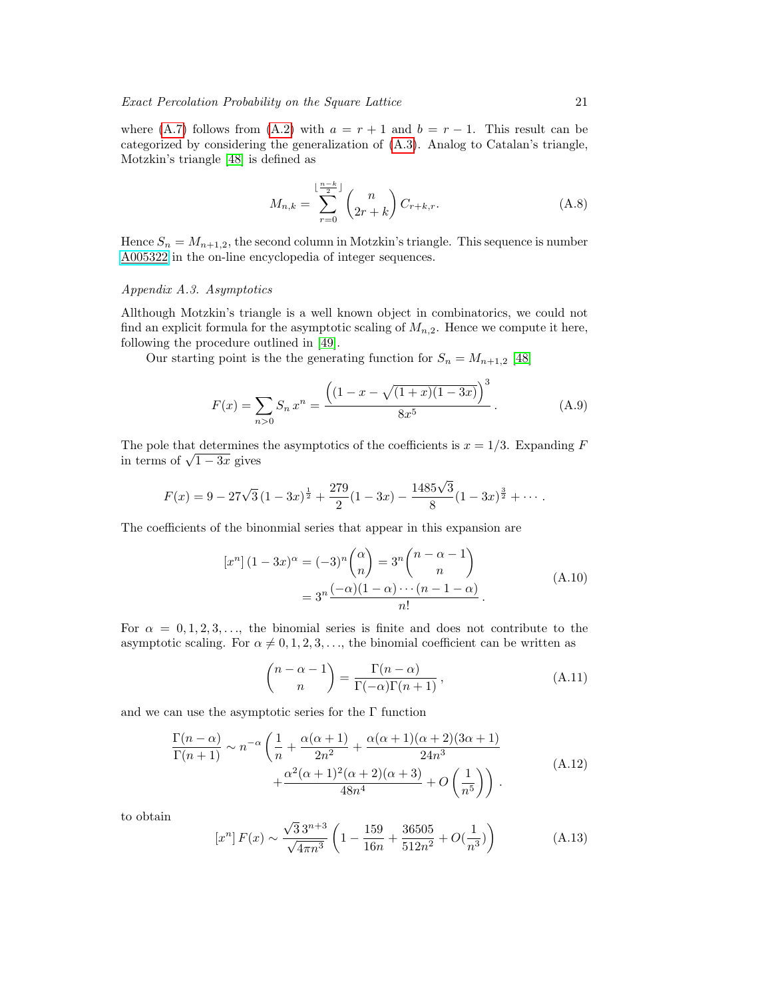where [\(A.7\)](#page-19-1) follows from [\(A.2\)](#page-18-1) with  $a = r + 1$  and  $b = r - 1$ . This result can be categorized by considering the generalization of [\(A.3\)](#page-18-0). Analog to Catalan's triangle, Motzkin's triangle [\[48\]](#page-21-47) is defined as

<span id="page-20-0"></span>
$$
M_{n,k} = \sum_{r=0}^{\lfloor \frac{n-k}{2} \rfloor} \binom{n}{2r+k} C_{r+k,r}.
$$
 (A.8)

Hence  $S_n = M_{n+1,2}$ , the second column in Motzkin's triangle. This sequence is number [A005322](http://oeis.org/A005322) in the on-line encyclopedia of integer sequences.

# Appendix A.3. Asymptotics

Allthough Motzkin's triangle is a well known object in combinatorics, we could not find an explicit formula for the asymptotic scaling of  $M_{n,2}$ . Hence we compute it here, following the procedure outlined in [\[49\]](#page-22-0).

Our starting point is the the generating function for  $S_n = M_{n+1,2}$  [\[48\]](#page-21-47)

$$
F(x) = \sum_{n>0} S_n x^n = \frac{\left( (1 - x - \sqrt{(1+x)(1-3x)})^3 \right)}{8x^5}.
$$
 (A.9)

The pole that determines the asymptotics of the coefficients is  $x = 1/3$ . Expanding F in terms of  $\sqrt{1-3x}$  gives

$$
F(x) = 9 - 27\sqrt{3}(1-3x)^{\frac{1}{2}} + \frac{279}{2}(1-3x) - \frac{1485\sqrt{3}}{8}(1-3x)^{\frac{3}{2}} + \cdots
$$

The coefficients of the binonmial series that appear in this expansion are

$$
[x^n] (1 - 3x)^{\alpha} = (-3)^n {\alpha \choose n} = 3^n {\binom{n - \alpha - 1}{n}}
$$
  
= 
$$
3^n {\binom{-\alpha}(1 - \alpha) \cdots (n - 1 - \alpha)}{n!}
$$
 (A.10)

For  $\alpha = 0, 1, 2, 3, \ldots$ , the binomial series is finite and does not contribute to the asymptotic scaling. For  $\alpha \neq 0, 1, 2, 3, \ldots$ , the binomial coefficient can be written as

$$
\binom{n-\alpha-1}{n} = \frac{\Gamma(n-\alpha)}{\Gamma(-\alpha)\Gamma(n+1)},\tag{A.11}
$$

and we can use the asymptotic series for the Γ function

$$
\frac{\Gamma(n-\alpha)}{\Gamma(n+1)} \sim n^{-\alpha} \left( \frac{1}{n} + \frac{\alpha(\alpha+1)}{2n^2} + \frac{\alpha(\alpha+1)(\alpha+2)(3\alpha+1)}{24n^3} + \frac{\alpha^2(\alpha+1)^2(\alpha+2)(\alpha+3)}{48n^4} + O\left(\frac{1}{n^5}\right) \right) \tag{A.12}
$$

to obtain

$$
[x^n]F(x) \sim \frac{\sqrt{3}3^{n+3}}{\sqrt{4\pi n^3}} \left(1 - \frac{159}{16n} + \frac{36505}{512n^2} + O(\frac{1}{n^3})\right)
$$
(A.13)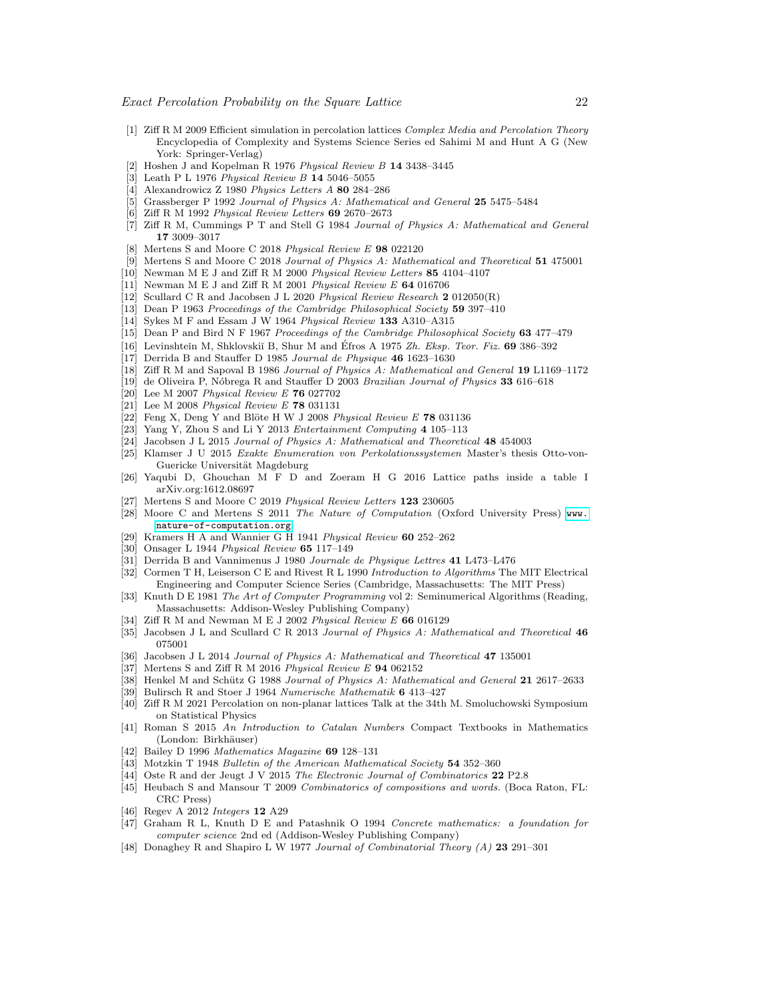- <span id="page-21-0"></span>[1] Ziff R M 2009 Efficient simulation in percolation lattices Complex Media and Percolation Theory Encyclopedia of Complexity and Systems Science Series ed Sahimi M and Hunt A G (New York: Springer-Verlag)
- <span id="page-21-1"></span>[2] Hoshen J and Kopelman R 1976 Physical Review B 14 3438–3445
- <span id="page-21-2"></span>[3] Leath P L 1976 Physical Review B 14 5046–5055
- <span id="page-21-3"></span>[4] Alexandrowicz Z 1980 Physics Letters A 80 284–286
- <span id="page-21-4"></span>[5] Grassberger P 1992 Journal of Physics A: Mathematical and General 25 5475–5484
- <span id="page-21-5"></span>[6] Ziff R M 1992 Physical Review Letters 69 2670–2673
- <span id="page-21-6"></span>[7] Ziff R M, Cummings P T and Stell G 1984 Journal of Physics A: Mathematical and General 17 3009–3017
- <span id="page-21-7"></span>Mertens S and Moore C 2018 Physical Review E 98 022120
- <span id="page-21-8"></span>[9] Mertens S and Moore C 2018 Journal of Physics A: Mathematical and Theoretical 51 475001
- <span id="page-21-9"></span>[10] Newman M E J and Ziff R M 2000 Physical Review Letters 85 4104–4107
- <span id="page-21-10"></span>[11] Newman M E J and Ziff R M 2001 Physical Review E 64 016706
- <span id="page-21-11"></span>[12] Scullard C R and Jacobsen J L 2020 Physical Review Research 2 012050(R)
- <span id="page-21-12"></span>[13] Dean P 1963 Proceedings of the Cambridge Philosophical Society 59 397-410
- <span id="page-21-13"></span>[14] Sykes M F and Essam J W 1964 Physical Review 133 A310–A315
- <span id="page-21-14"></span>[15] Dean P and Bird N F 1967 Proceedings of the Cambridge Philosophical Society 63 477–479
- <span id="page-21-15"></span>[16] Levinshtein M, Shklovskiı̆ B, Shur M and Éfros A 1975  $Zh$ . Eksp. Teor. Fiz. 69 386–392
- <span id="page-21-16"></span>[17] Derrida B and Stauffer D 1985 Journal de Physique 46 1623–1630
- <span id="page-21-17"></span>[18] Ziff R M and Sapoval B 1986 Journal of Physics A: Mathematical and General 19 L1169–1172
- <span id="page-21-18"></span>[19] de Oliveira P, Nóbrega R and Stauffer D 2003 Brazilian Journal of Physics 33 616-618
- <span id="page-21-19"></span>[20] Lee M 2007 Physical Review E 76 027702
- <span id="page-21-20"></span>[21] Lee M 2008 Physical Review E 78 031131
- <span id="page-21-21"></span>[22] Feng X, Deng Y and Blöte H W J 2008 Physical Review E  $78031136$
- <span id="page-21-22"></span>[23] Yang Y, Zhou S and Li Y 2013 Entertainment Computing 4 105–113
- <span id="page-21-23"></span>Jacobsen J L 2015 Journal of Physics A: Mathematical and Theoretical 48 454003
- <span id="page-21-24"></span>[25] Klamser J U 2015 Exakte Enumeration von Perkolationssystemen Master's thesis Otto-von-Guericke Universität Magdeburg
- <span id="page-21-25"></span>[26] Yaqubi D, Ghouchan M F D and Zoeram H G 2016 Lattice paths inside a table I arXiv.org:1612.08697
- <span id="page-21-26"></span>[27] Mertens S and Moore C 2019 Physical Review Letters 123 230605
- <span id="page-21-27"></span>[28] Moore C and Mertens S 2011 The Nature of Computation (Oxford University Press) [www.](www.nature-of-computation.org) [nature-of-computation.org](www.nature-of-computation.org)
- <span id="page-21-28"></span>[29] Kramers H A and Wannier G H 1941 Physical Review 60 252–262
- <span id="page-21-29"></span>[30] Onsager L 1944 Physical Review 65 117–149
- <span id="page-21-30"></span>[31] Derrida B and Vannimenus J 1980 Journale de Physique Lettres 41 L473–L476
- <span id="page-21-31"></span>[32] Cormen T H, Leiserson C E and Rivest R L 1990 Introduction to Algorithms The MIT Electrical Engineering and Computer Science Series (Cambridge, Massachusetts: The MIT Press)
- <span id="page-21-32"></span>[33] Knuth D E 1981 The Art of Computer Programming vol 2: Seminumerical Algorithms (Reading, Massachusetts: Addison-Wesley Publishing Company)
- <span id="page-21-33"></span>[34] Ziff R M and Newman M E J 2002 Physical Review E 66 016129
- <span id="page-21-34"></span>[35] Jacobsen J L and Scullard C R 2013 Journal of Physics A: Mathematical and Theoretical 46 075001
- <span id="page-21-35"></span>Jacobsen J L 2014 Journal of Physics A: Mathematical and Theoretical 47 135001
- <span id="page-21-36"></span>[37] Mertens S and Ziff R M 2016 Physical Review E 94 062152
- <span id="page-21-37"></span>[38] Henkel M and Schütz G 1988 Journal of Physics A: Mathematical and General 21 2617–2633
- <span id="page-21-38"></span>[39] Bulirsch R and Stoer J 1964 Numerische Mathematik 6 413-427
- <span id="page-21-39"></span>[40] Ziff R M 2021 Percolation on non-planar lattices Talk at the 34th M. Smoluchowski Symposium on Statistical Physics
- <span id="page-21-40"></span>[41] Roman S 2015 An Introduction to Catalan Numbers Compact Textbooks in Mathematics (London: Birkhäuser)
- <span id="page-21-41"></span>[42] Bailey D 1996 Mathematics Magazine 69 128–131
- <span id="page-21-42"></span>[43] Motzkin T 1948 Bulletin of the American Mathematical Society 54 352–360
- <span id="page-21-43"></span>[44] Oste R and der Jeugt J V 2015 The Electronic Journal of Combinatorics 22 P2.8
- <span id="page-21-44"></span>[45] Heubach S and Mansour T 2009 Combinatorics of compositions and words. (Boca Raton, FL: CRC Press)
- <span id="page-21-45"></span>[46] Regev A 2012 Integers 12 A29
- <span id="page-21-46"></span>[47] Graham R L, Knuth D E and Patashnik O 1994 Concrete mathematics: a foundation for computer science 2nd ed (Addison-Wesley Publishing Company)
- <span id="page-21-47"></span>[48] Donaghey R and Shapiro L W 1977 Journal of Combinatorial Theory (A) 23 291–301